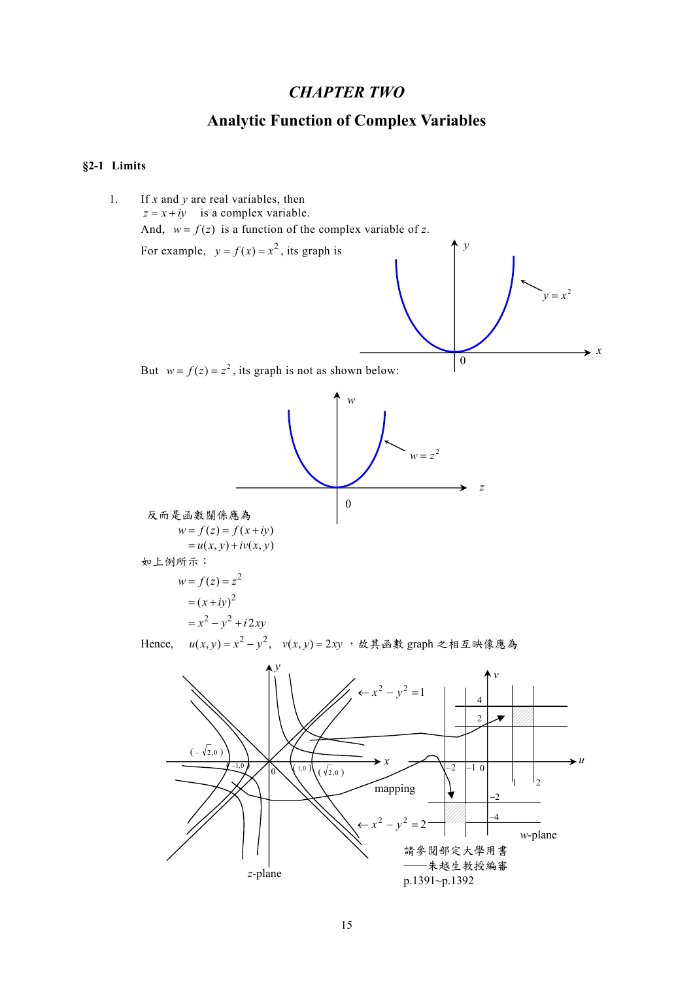## *CHAPTER TWO*

# **Analytic Function of Complex Variables**

## **§2-1 Limits**

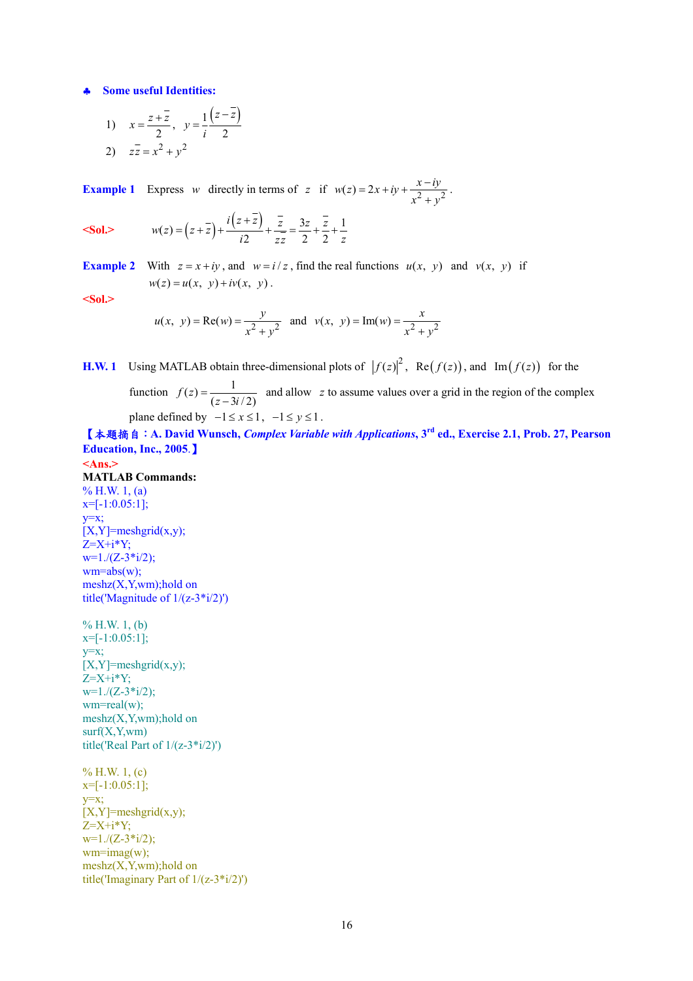♣ **Some useful Identities:** 

1) 
$$
x = \frac{z + \overline{z}}{2}, y = \frac{1}{i} \frac{(z - \overline{z})}{2}
$$
  
2)  $z\overline{z} = x^2 + y^2$ 

**Example 1** Express *w* directly in terms of *z* if  $w(z) = 2x + iy + \frac{x - iy}{x^2 + y^2}$  $= 2x + iy + \frac{x - iy}{x^2 + y^2}.$ 

$$
Sol. \t\t w(z) = (z + \overline{z}) + \frac{i(z + z)}{i2} + \frac{\overline{z}}{z\overline{z}} = \frac{3z}{2} + \frac{\overline{z}}{2} + \frac{1}{z}
$$

**Example 2** With  $z = x + iy$ , and  $w = i/z$ , find the real functions  $u(x, y)$  and  $v(x, y)$  if  $w(z) = u(x, y) + iv(x, y)$ .

**<Sol.>** 

$$
u(x, y) = \text{Re}(w) = \frac{y}{x^2 + y^2}
$$
 and  $v(x, y) = \text{Im}(w) = \frac{x}{x^2 + y^2}$ 

**H.W. 1** Using MATLAB obtain three-dimensional plots of  $|f(z)|^2$ , Re $(f(z))$ , and Im  $(f(z))$  for the

function  $f(z) = \frac{1}{(z - 3i/2)}$  and allow z to assume values over a grid in the region of the complex plane defined by  $-1 \le x \le 1$ ,  $-1 \le y \le 1$ .

【本題摘自:**A. David Wunsch,** *Complex Variable with Applications***, 3rd ed., Exercise 2.1, Prob. 27, Pearson Education, Inc., 2005**.】

**<Ans.> MATLAB Commands:**  % H.W.  $1, (a)$  $x=[-1:0.05:1]$ ;  $y=x;$  $[X, Y]$ =meshgrid $(x,y)$ ;  $Z=X+i*Y$ ;  $w=1/(Z-3*1/2);$  $wm = abs(w)$ ;  $meshz(X,Y,wm); hold on$ title('Magnitude of 1/(z-3\*i/2)')

 $% H.W. 1, (b)$ x=[-1:0.05:1]; y=x;  $[X, Y]$ =meshgrid $(x,y)$ ;  $Z=X+i*Y;$  $w=1/(Z-3*1/2);$ wm=real(w);  $meshz(X,Y,wm); hold on$  $surf(X, Y, wm)$ title('Real Part of  $1/(z-3**i*/2)$ ')

 $% H.W. 1, (c)$  $x=[-1:0.05:1];$ y=x;  $[X, Y]$ =meshgrid $(x,y)$ ;  $Z=X+i*Y;$  $w=1/(Z-3*1/2);$  $wm=imag(w);$  $meshz(X,Y,wm); hold on$ title('Imaginary Part of 1/(z-3\*i/2)')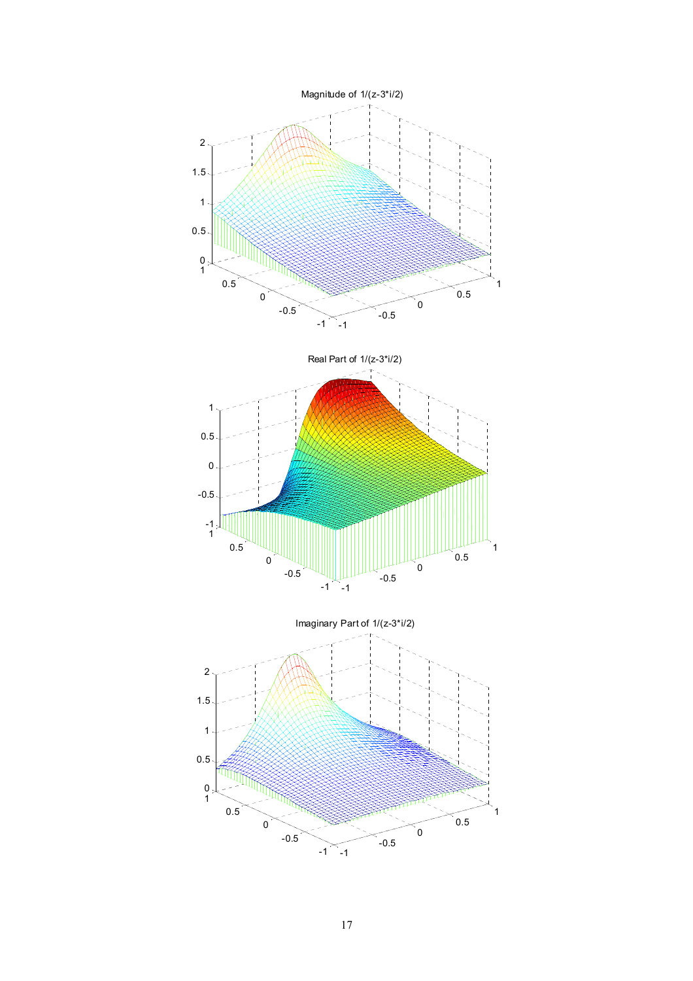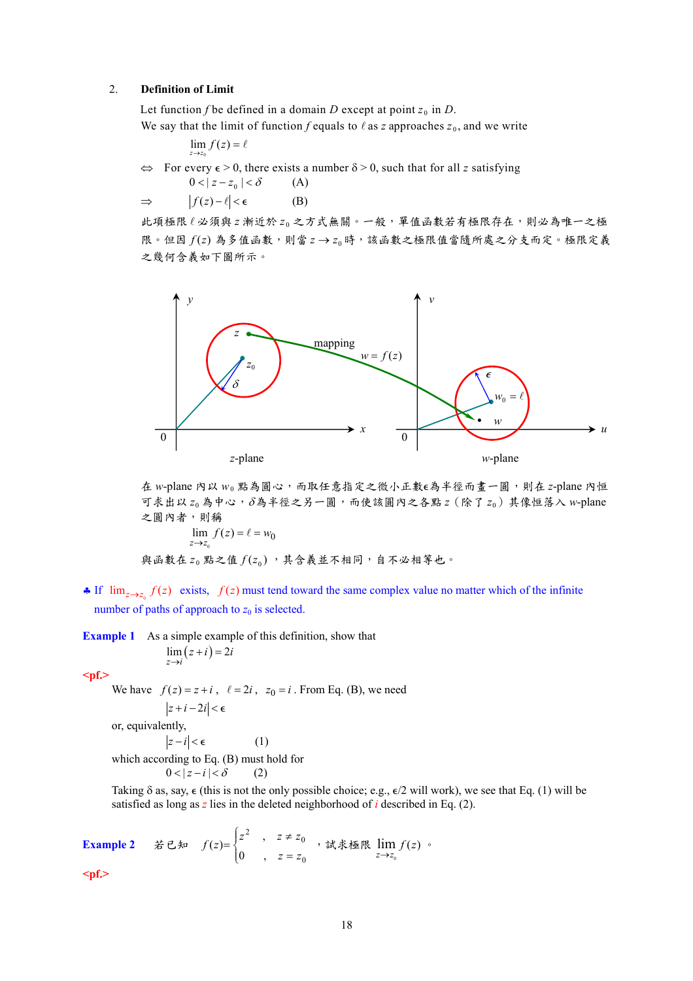#### 2. **Definition of Limit**

Let function *f* be defined in a domain *D* except at point  $z_0$  in *D*.

We say that the limit of function *f* equals to  $\ell$  as *z* approaches  $z_0$ , and we write

$$
\lim_{z\to z_0} f(z) = \ell
$$

0

 $\Leftrightarrow$  For every  $\epsilon > 0$ , there exists a number  $\delta > 0$ , such that for all *z* satisfying

$$
0 < |z - z_0| < \delta \qquad (A)
$$
  
\n
$$
\Rightarrow |f(z) - \ell| < \epsilon \qquad (B)
$$

此項極限 l 必須與 z 漸近於 zo 之方式無關。一般, 單值函數若有極限存在,則必為唯一之極 限。但因 f(z)為多值函數,則當 z → z 時,該函數之極限值當隨所處之分支而定。極限定義 之幾何含義如下圖所示。



在 *w*-plane 內以 *w*<sup>0</sup> 點為圓心,而取任意指定之微小正數=為半徑而畫一圓,則在 *z*-plane 內恒 可求出以 *z*<sup>0</sup> 為中心,δ為半徑之另一圓,而使該圓內之各點 *z*(除了 *z*0)其像恒落入 *w*-plane 之圓內者,則稱  $z \rightarrow z_0$  $\lim_{z \to z_0} f(z) = \ell = w_0$ 

與高數在 z<sub>0</sub>駕之値
$$
f(z_0)
$$
,其含義並不相同,自不公相等也。

• If  $\lim_{z\to z_0} f(z)$  exists,  $f(z)$  must tend toward the same complex value no matter which of the infinite number of paths of approach to  $z_0$  is selected.

**Example 1** As a simple example of this definition, show that

$$
\lim_{z \to i} (z + i) = 2i
$$

**<pf.>** 

We have  $f(z) = z + i$ ,  $\ell = 2i$ ,  $z_0 = i$ . From Eq. (B), we need

$$
\left|z+i-2i\right|<\epsilon
$$

or, equivalently,

 $|z - i| < \epsilon$  (1)

which according to Eq. (B) must hold for

$$
0 < |z - i| < \delta \qquad (2)
$$

Taking  $\delta$  as, say,  $\epsilon$  (this is not the only possible choice; e.g.,  $\epsilon/2$  will work), we see that Eq. (1) will be satisfied as long as *z* lies in the deleted neighborhood of *i* described in Eq. (2).

**Example 2** 若已知  $f(z) = \begin{cases}$  $\left($ =  $=\begin{cases} z^2 & , z \neq 0 \end{cases}$ 0 <sup>2</sup>,  $z \neq z_0$  $f(z) = \begin{cases} z^2, & z \neq z_0, \\ 0, & z = z_0. \end{cases}$ , 試求極限  $\lim_{z \to z_0} f(z)$  •

**<pf.>**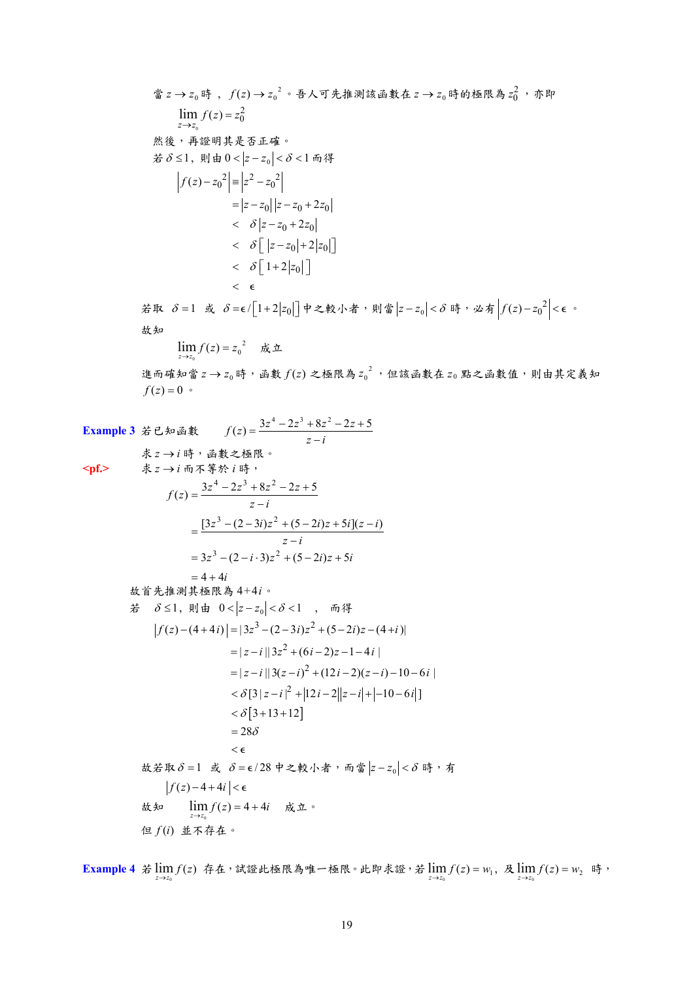當  $z$  →  $z_0$  時 ,  $f(z)$  →  ${z_0}^2$  。吾人可先推測該函數在  $z$  →  $z_0$  時的極限為  $z_0^2$  ,亦即  $\mathbf{0}$  $\lim_{z \to z_0} f(z) = z_0^2$ 然後,再證明其是否正確。 者  $\delta$  ≤1, 則由 0 <  $|z - z_0|$  <  $\delta$  < 1 而得  $f(z) - z_0^2 = |z^2 - z_0^2|$  $= |z - z_0||z - z_0 + 2z_0$  $\langle \delta | z - z_0 + 2z_0 \rangle$  $\langle \delta \left[ |z-z_0| + 2|z_0| \right]$  $\langle \delta \left[ 1 + 2 | z_0 | \right] \rangle$  $\epsilon$ 若取 δ = 1 或 δ = ε/ $\left[1+2|z_0|\right]$ 中之較小者,則當 $\left|z-z_0\right| < \delta$  時,必有 $\left|f(z)-z_0^2\right| < \epsilon$ 。 故知  $\lim_{z \to z_0} f(z) = z_0^2$  成立 0 進而確知當  $z$  →  $z_0$ 時, 函數  $f(z)$  之極限為  ${z_0}^2$ , 但該函數在  $z_0$  點之函數值, 則由其定義知  $f(z) = 0$  • **Example 3** 若已知函數  $f(z) = \frac{3z^4 - 2z^3 + 8z^2 - 2z + 5}{z - i}$ 求 *z* → *i* 時,函數之極限。 <pf.> 求 z → *i* 而不等於 *i* 時, *z i*  $z^3 - (2-3i)z^2 + (5-2i)z + 5i[(z-i)]$  $f(z) = \frac{3z^4 - 2z^3 + 8z^2 - 2z + 5}{z - i}$  $=\frac{[3z^3-(2-3i)z^2+(5-2i)z+5i](z-i)}{z-i}$  $= 4 + 4i$  $= 3z^3 - (2 - i \cdot 3)z^2 + (5 - 2i)z + 5i$ 故首先推測其極限為 4+4*i*。 若  $\delta$  ≤1, 則由 0 < |z − z<sub>0</sub>| <  $\delta$  < 1, 而得  $f(z) - (4 + 4i) = |3z^3 - (2 - 3i)z^2 + (5 - 2i)z - (4 + i)|$  $= |z - i| |3z^2 + (6i - 2)z - 1 - 4i|$  $= |z - i| |3(z - i)^2 + (12i - 2)(z - i) - 10 - 6i|$  $< \delta$ [3+13+12]  $<\delta$ [3 |  $z-i$  |  $^{2}$  + |12  $i-2$ || $z-i$ | + |-10 - 6  $i$ |]  $=28\delta$  $\epsilon$  $\text{t}$ 故若取δ = 1 或 δ = ε/28 中之較小者, 而當  $|z-z_0| < \delta$  時, 有  $|f(z)-4+4i|<\epsilon$ 故知  $\lim_{z\to z_0} f(z) = 4 + 4i$  成立。 0 但 *f* (*i*) 並不存在。

**Example 4** 若  $\lim_{z \to z_0} f(z)$  存在, 試證此極限為唯一極限。此即求證, 若  $\lim_{z \to z_0} f(z) = w_1$ , 及  $\lim_{z \to z_0} f(z) = w_2$  時,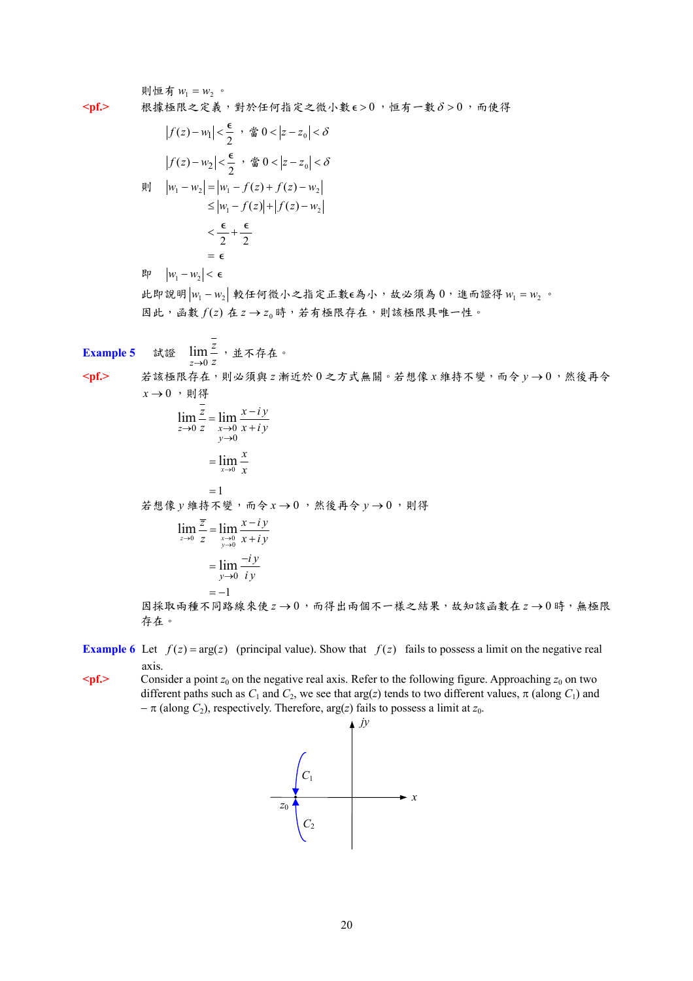則恒有 $w_1 = w_2$ 。 <pf.> 根據極限之定義,對於任何指定之微小數 ε > 0, 恒有一數δ > 0, 而使得  $|f(z)-w_1| < \frac{\epsilon}{2}$ , 當0 <  $|z-z_0| < \delta$  $|f(z)-w_2| < \frac{\epsilon}{2}$ , 當 0 <  $|z-z_0| < \delta$ **則**  $|w_1 - w_2| = |w_1 - f(z) + f(z) - w_2|$  $\leq |w_1 - f(z)| + |f(z) - w_2|$  $\frac{\epsilon}{2} + \frac{\epsilon}{2}$ =  $\epsilon$  $|w_1 - w_2| < \epsilon$ 此即說明 *w*<sup>1</sup> − *w*<sup>2</sup> 較任何微小之指定正數=為小,故必須為 0,進而證得 *w*<sup>1</sup> = *w*<sup>2</sup> 。 因此,函數 f(z) 在 z → z 時,若有極限存在,則該極限具唯一性。 **Example 5** *z*→0 *z* lim-<sup>2</sup>,並不存在。 <pf.> 若該極限存在,則必須與 z 漸近於 0 之方式無關。若想像 x 維持不變, 而令 y → 0,然後再令  $x \rightarrow 0$ ,則得 *z*  $\lim_{x \to i} x - iy$ 

 $\lim_{z\to 0}\frac{z}{z}=\lim_{\substack{x\to 0\\y\to 0}}$  $\lim_{n \to \infty} \frac{1}{n} = \lim_{n \to \infty}$  $z \rightarrow 0$  *z x*<br>*y*  $\lim_{x \to 0} \frac{z}{z} = \lim_{\substack{x \to 0 \\ y \to 0}} \frac{x - iy}{x + iy}$  $=1$  $=\lim_{x\to 0}\frac{x}{x}$ *x*  $\dot{x}$ 想像 *y* 維持不變, 而令 *x* → 0, 然後再令 *y* → 0, 則得  $\lim_{z \to 0} \frac{z}{z} = \lim_{\substack{x \to 0 \\ y \to 0}}$  $\overline{z}$   $\lim_{x \to i} x - iy$  $\lim_{x \to 0} \frac{\overline{z}}{z} = \lim_{\substack{x \to 0 \\ y \to 0}} \frac{x - iy}{x + iy}$ 0 lim *y*  $=-1$ *i y*  $=\lim_{y\to 0} \frac{-iy}{iy}$ 因採取兩種不同路線來使 *z* → 0,而得出兩個不一樣之結果,故知該函數在 *z* → 0時,無極限 存在。

**Example 6** Let  $f(z) = \arg(z)$  (principal value). Show that  $f(z)$  fails to possess a limit on the negative real axis.

 $\leq$  **pf.**> Consider a point *z*<sub>0</sub> on the negative real axis. Refer to the following figure. Approaching *z*<sub>0</sub> on two different paths such as  $C_1$  and  $C_2$ , we see that arg(*z*) tends to two different values,  $\pi$  (along  $C_1$ ) and  $-\pi$  (along *C*<sub>2</sub>), respectively. Therefore, arg(*z*) fails to possess a limit at *z*<sub>0</sub>.

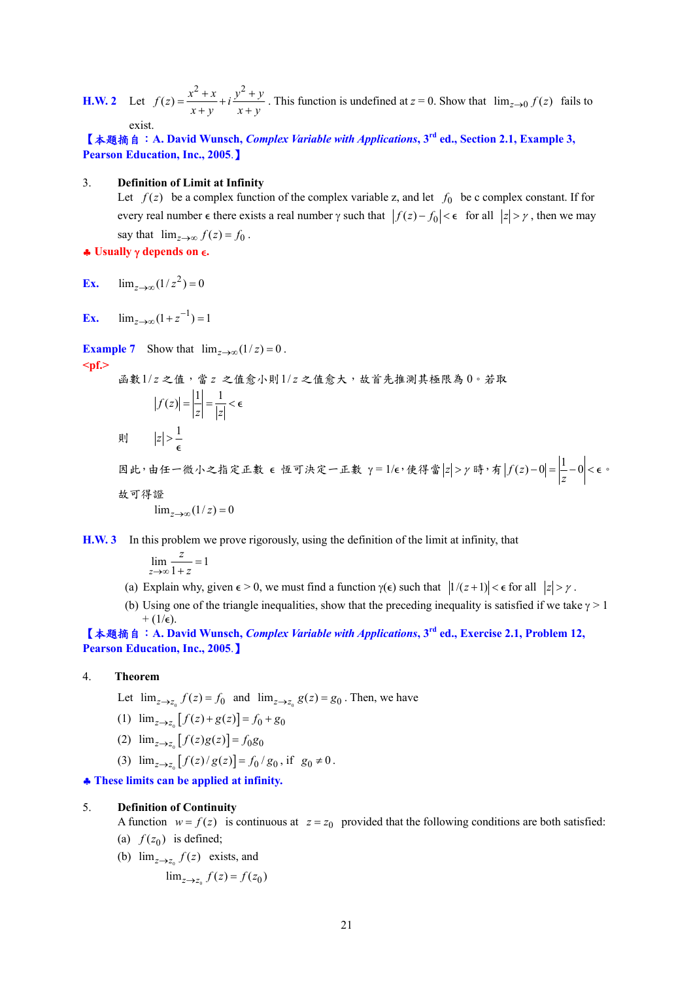**H.W. 2** Let  $f(z) = \frac{x^2 + x}{x + y} + i \frac{y^2 + y}{x + y}$  $=\frac{x^2+x}{x+y}+i\frac{y^2+y}{x+y}$ . This function is undefined at  $z=0$ . Show that  $\lim_{z\to 0} f(z)$  fails to exist.

【本題摘自:**A. David Wunsch,** *Complex Variable with Applications***, 3rd ed., Section 2.1, Example 3, Pearson Education, Inc., 2005**.】

#### 3. **Definition of Limit at Infinity**

Let  $f(z)$  be a complex function of the complex variable z, and let  $f_0$  be c complex constant. If for every real number  $\epsilon$  there exists a real number  $\gamma$  such that  $|f(z) - f_0| < \epsilon$  for all  $|z| > \gamma$ , then we may say that  $\lim_{z \to \infty} f(z) = f_0$ . ♣ **Usually** γ **depends on** =**.** 

**Ex.**  $\lim_{z \to \infty} (1/z^2) = 0$ 

**Ex.**  $\lim_{z \to \infty} (1 + z^{-1}) = 1$ 

**Example 7** Show that  $\lim_{z \to \infty} (1/z) = 0$ . **<pf.>** 

函數1/ *z* 之值,當 *z* 之值愈小則1/ *z* 之值愈大,故首先推測其極限為 0。若取  $|f(z)| = \left| \frac{1}{z} \right| = \frac{1}{|z|} < \epsilon$ 則  $|z| > \frac{1}{2}$  $\epsilon$ 因此,由任一微小之指定正數 ε 恆可決定一正數 γ = 1/ε,使得當 |z| > γ 時,有 |f(z) - 0| =  $\left| \frac{1}{z} - 0 \right|$  < ε ·

故可得證

 $\lim_{z \to \infty} (1/z) = 0$ 

**H.W. 3** In this problem we prove rigorously, using the definition of the limit at infinity, that

 $\lim_{z \to \infty} \frac{z}{1+z} = 1$ *z*  $\lim_{x\to\infty} \frac{z}{1+z} =$ 

- (a) Explain why, given  $\epsilon > 0$ , we must find a function  $\gamma(\epsilon)$  such that  $|1/(z+1)| < \epsilon$  for all  $|z| > \gamma$ .
- (b) Using one of the triangle inequalities, show that the preceding inequality is satisfied if we take  $\gamma > 1$  $+$  (1/ $\epsilon$ ).

【本題摘自:**A. David Wunsch,** *Complex Variable with Applications***, 3rd ed., Exercise 2.1, Problem 12, Pearson Education, Inc., 2005**.】

- 4. **Theorem**
	- Let  $\lim_{z \to z_a} f(z) = f_0$  and  $\lim_{z \to z_a} g(z) = g_0$ . Then, we have
	- (1)  $\lim_{z \to z_0} [f(z) + g(z)] = f_0 + g_0$
	- (2)  $\lim_{z \to z_0} [f(z)g(z)] = f_0 g_0$
	- (3)  $\lim_{z \to z_0} [f(z)/g(z)] = f_0/g_0$ , if  $g_0 \neq 0$ .

♣ **These limits can be applied at infinity.** 

#### 5. **Definition of Continuity**

A function  $w = f(z)$  is continuous at  $z = z_0$  provided that the following conditions are both satisfied:

- (a)  $f(z_0)$  is defined;
- (b)  $\lim_{z \to z_0} f(z)$  exists, and
	- $\lim_{z \to z_a} f(z) = f(z_0)$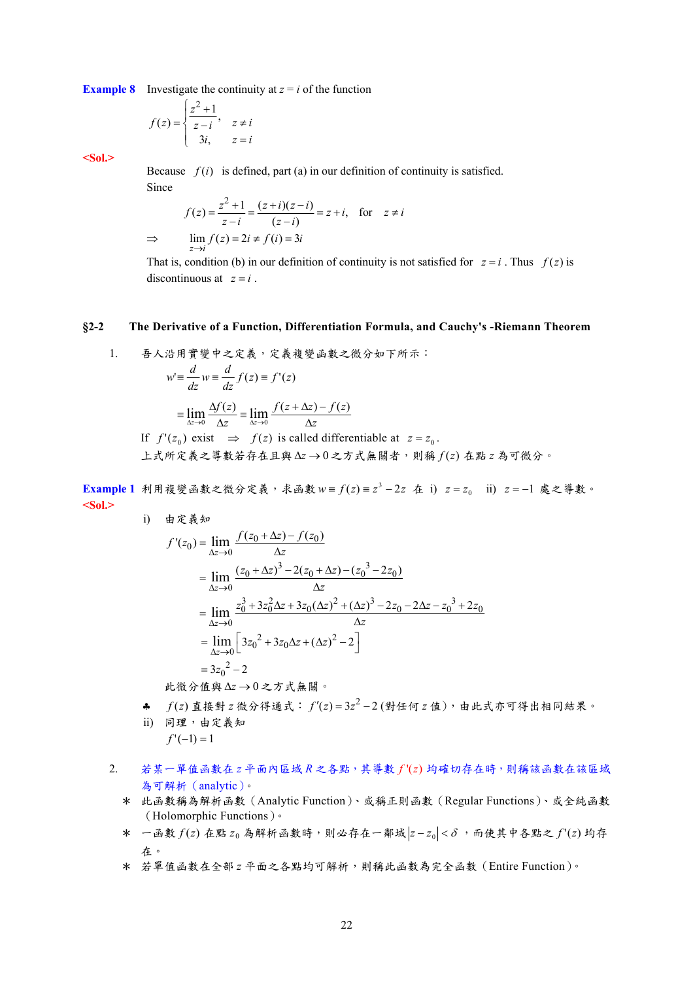**Example 8** Investigate the continuity at  $z = i$  of the function

$$
f(z) = \begin{cases} \frac{z^2 + 1}{z - i}, & z \neq i \\ 3i, & z = i \end{cases}
$$

**<Sol.>** 

Because  $f(i)$  is defined, part (a) in our definition of continuity is satisfied. Since

$$
f(z) = \frac{z^2 + 1}{z - i} = \frac{(z + i)(z - i)}{(z - i)} = z + i, \text{ for } z \neq i
$$
  
\n
$$
\Rightarrow \lim_{z \to i} f(z) = 2i \neq f(i) = 3i
$$

That is, condition (b) in our definition of continuity is not satisfied for  $z = i$ . Thus  $f(z)$  is discontinuous at  $z = i$ 

#### **§2-2 The Derivative of a Function, Differentiation Formula, and Cauchy's -Riemann Theorem**

1. 镪人ဗ用質變中之定義,定義複變画數之微分如下所示:  
\n
$$
w' \equiv \frac{d}{dz} w \equiv \frac{d}{dz} f(z) \equiv f'(z)
$$
\n
$$
\equiv \lim_{\Delta z \to 0} \frac{\Delta f(z)}{\Delta z} \equiv \lim_{\Delta z \to 0} \frac{f(z + \Delta z) - f(z)}{\Delta z}
$$
\nIf  $f'(z_0)$  exist  $\Rightarrow f(z)$  is called differentiable at  $z = z_0$ .  
\n
$$
\Delta z \equiv \Delta z + \Delta z
$$

**Example 1** 利用複變函數之微分定義,求函數 w =  $f(z) = z^3 - 2z$  在 i)  $z = z_0$  ii)  $z = -1$  處之導數。 **<Sol.>**  i) 由定義知

$$
f'(z_0) = \lim_{\Delta z \to 0} \frac{f(z_0 + \Delta z) - f(z_0)}{\Delta z}
$$
  
= 
$$
\lim_{\Delta z \to 0} \frac{(z_0 + \Delta z)^3 - 2(z_0 + \Delta z) - (z_0^3 - 2z_0)}{\Delta z}
$$
  
= 
$$
\lim_{\Delta z \to 0} \frac{z_0^3 + 3z_0^2 \Delta z + 3z_0 (\Delta z)^2 + (\Delta z)^3 - 2z_0 - 2\Delta z - z_0^3 + 2z_0}{\Delta z}
$$
  
= 
$$
\lim_{\Delta z \to 0} \left[ 3z_0^2 + 3z_0 \Delta z + (\Delta z)^2 - 2 \right]
$$
  
= 
$$
3z_0^2 - 2
$$

此微分值與 Δz → 0 之方式無關。

- ♣ *f* ( )*z* 直接對 *z* 微分得通式: <sup>2</sup> *fz z* ′() 3 2 = − (對任何 *z* 值),由此式亦可得出相同結果。
- ii) 同理,由定義知  $f'(-1) = 1$
- 2. 若某一單值函數在 *z* 平面內區域 *R* 之各點,其導數 *f* '( )*z* 均確切存在時,則稱該函數在該區域 為可解析(analytic)。
	- \* 此函數稱為解析函數(Analytic Function)、或稱正則函數(Regular Functions)、或全純函數 (Holomorphic Functions)。
	- \* 一函數 *f* (*z*) 在點 *z* <sup>0</sup> 為解析函數時,則必存在一鄰域 *z* − *z*<sup>0</sup> < <sup>δ</sup> ,而使其中各點之 *f* '(*z*) 均存 在。
	- \* 若單值函數在全部 *z* 平面之各點均可解析,則稱此函數為完全函數(Entire Function)。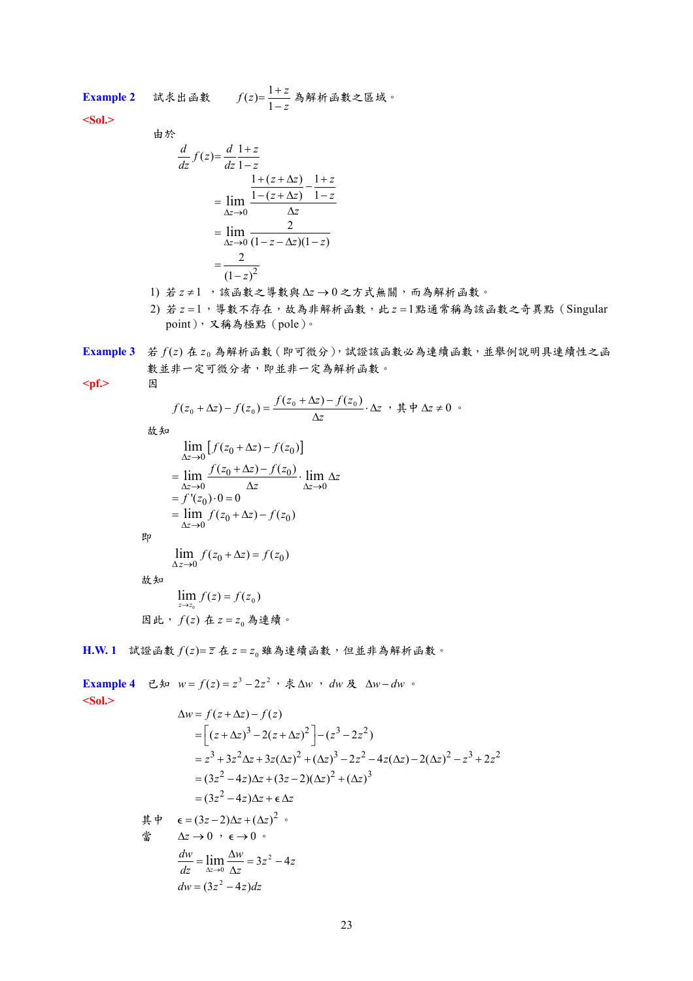**Example 2** 試求出函數 *<sup>z</sup>*

$$
f(z) = \frac{1+z}{1-z} \stackrel{1}{\approx} \hat{H}^2 + \hat{H}^2 \stackrel{1}{\approx} \hat{H}^2
$$

**<Sol.>** 

$$
\frac{d}{dz} f(z) = \frac{d}{dz} \frac{1+z}{1-z}
$$
\n
$$
= \lim_{\Delta z \to 0} \frac{\frac{1+(z+\Delta z)}{1-(z+\Delta z)} - \frac{1+z}{1-z}}{\Delta z}
$$
\n
$$
= \lim_{\Delta z \to 0} \frac{2}{(1-z-\Delta z)(1-z)}
$$
\n
$$
= \frac{2}{(1-z)^2}
$$

- 1) 若 z ≠ 1 ,該函數之導數與 Δz → 0 之方式無關,而為解析函數。
- 2) 若  $z = 1$ , 導數不存在,故為非解析函數,此  $z = 1$ 點通常稱為該函數之奇異點(Singular point),又稱為極點(pole)。
- **Example 3** 若 *f* (*z*) 在 *z* <sup>0</sup> 為解析函數(即可微分),試證該函數必為連續函數,並舉例說明具連續性之函 數並非一定可微分者,即並非一定為解析函數。

**<pf.>** 因

 *<sup>z</sup> <sup>z</sup> <sup>f</sup> <sup>z</sup> <sup>z</sup> <sup>f</sup> <sup>z</sup> <sup>f</sup> <sup>z</sup> <sup>z</sup> <sup>f</sup> <sup>z</sup>* ⋅∆ <sup>+</sup> <sup>∆</sup> <sup>−</sup> <sup>+</sup> <sup>∆</sup> <sup>−</sup> <sup>=</sup> ( ) ( ) ( ) ( ) <sup>0</sup> <sup>0</sup> ∆ <sup>0</sup> <sup>0</sup> ,其中 ∆*z* ≠ 0 。 故知 [ 0 0 ] <sup>0</sup> 0 0 0 0 0 0 0 <sup>0</sup> ( ) () ( ) () '( ) 0 0 ( ) () lim lim lim lim *z z z z fz z fz fz z fz <sup>z</sup> <sup>z</sup> f z fz z fz* ∆ → ∆→ ∆→ ∆ → +∆ − +∆ − = ⋅∆ ∆ = ⋅= = +∆ − 即 0 0 <sup>0</sup> lim ( ) () *<sup>z</sup> f z z fz* ∆ → +∆ = 故知 ( ) ( ) <sup>0</sup> 0 lim *<sup>f</sup> <sup>z</sup> <sup>f</sup> <sup>z</sup> <sup>z</sup> <sup>z</sup>* <sup>=</sup> <sup>→</sup> 因此, *f* (*z*) 在 <sup>0</sup> *z* = *z* 為連續。

 $H.W. 1$  試證函數  $f(z) = \overline{z}$  在  $z = z_0$  雖為連續函數, 但並非為解析函數。

Example 4

\n
$$
\begin{aligned}\n\mathbf{Example 4} \quad & \mathbf{C} \mathbf{A} \quad w = f(z) = z^3 - 2z^2 \quad , \, \, \dot{\mathbf{X}} \, \Delta w \quad dw \, \, \mathbf{A} \quad \Delta w - dw \quad \text{where } \\ \mathbf{Sol.} &> \\ \Delta w = f(z + \Delta z) - f(z) \\ &= \left[ (z + \Delta z)^3 - 2(z + \Delta z)^2 \right] - (z^3 - 2z^2) \\ &= z^3 + 3z^2 \Delta z + 3z(\Delta z)^2 + (\Delta z)^3 - 2z^2 - 4z(\Delta z) - 2(\Delta z)^2 - z^3 + 2z^2 \\ &= (3z^2 - 4z)\Delta z + (3z - 2)(\Delta z)^2 + (\Delta z)^3 \\ &= (3z^2 - 4z)\Delta z + \epsilon \Delta z \\ \n\end{aligned}
$$
\n
$$
\begin{aligned}\n\mathbf{H} \quad & \mathbf{B} \quad \mathbf{B} \quad &= (3z - 2)\Delta z + (\Delta z)^2 \quad , \\
\mathbf{B} \quad & \mathbf{B} \quad &= (3z - 2)\Delta z + (\Delta z)^2 \quad , \\
\mathbf{B} \quad & \Delta z \rightarrow 0 \quad \text{where } \epsilon \rightarrow 0 \quad , \\
\mathbf{B} \quad & \Delta z \rightarrow 0 \quad \text{where } \epsilon \rightarrow 0 \quad , \\
\frac{dw}{dz} = \lim_{\Delta z \rightarrow 0} \frac{\Delta w}{\Delta z} = 3z^2 - 4z \\ \n\end{aligned}
$$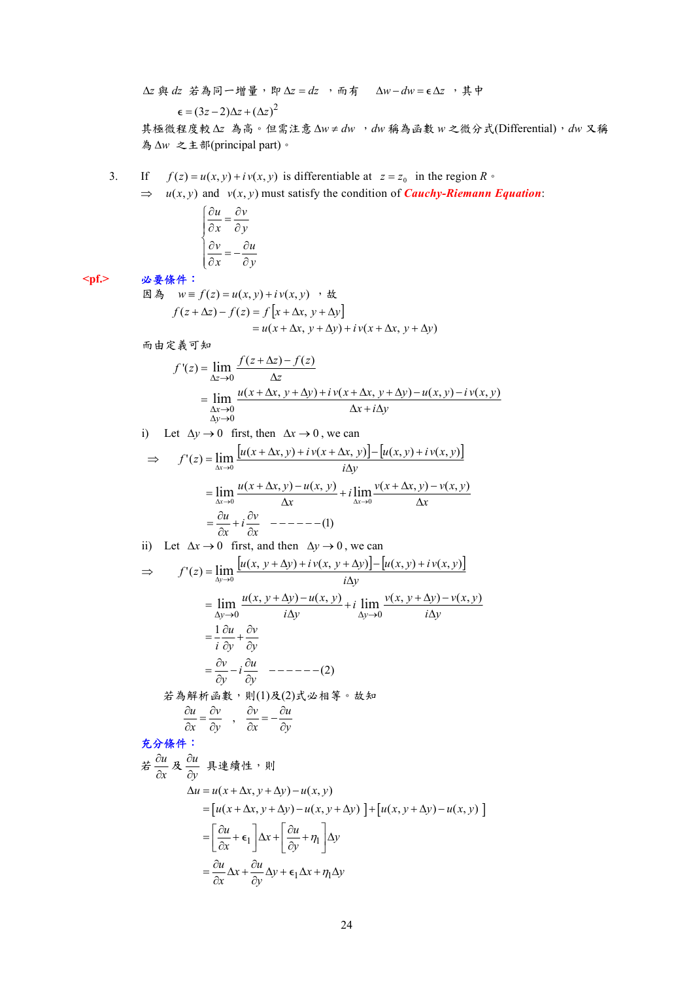$\Delta z$  與 dz 若為同一增量, 即  $\Delta z = dz$ , 而有  $\Delta w - dw = \epsilon \Delta z$ , 其中  $\epsilon = (3z-2)\Delta z + (\Delta z)^2$ 

其極微程度較 ∆*z* 為高。但需注意 ∆*w* ≠ *dw* ,*dw* 稱為函數 *w* 之微分式(Differential),*dw* 又稱 為 ∆*w* 之主部(principal part)。

3. If 
$$
f(z) = u(x, y) + iv(x, y)
$$
 is differentiable at  $z = z_0$  in the region  $R \circ$ 

 $\Rightarrow$  *u(x, y)* and *v(x, y)* must satisfy the condition of *Cauchy-Riemann Equation*:

| $\partial u$ | ∂v                          |
|--------------|-----------------------------|
| дx           | $\partial \nu$              |
| дv           | дu                          |
| дx           | $\mathcal{O}$ $\mathcal{V}$ |

**<pf.>** 必要條件:

因為  $w \equiv f(z) = u(x, y) + iv(x, y)$ ,故  $f(z + \Delta z) - f(z) = f[x + \Delta x, y + \Delta y]$  $= u(x + \Delta x, y + \Delta y) + iv(x + \Delta x, y + \Delta y)$ 

而由定義可知

$$
f'(z) = \lim_{\Delta z \to 0} \frac{f(z + \Delta z) - f(z)}{\Delta z}
$$
  
= 
$$
\lim_{\begin{subarray}{c} \Delta x \to 0 \\ \Delta y \to 0 \end{subarray}} \frac{u(x + \Delta x, y + \Delta y) + iv(x + \Delta x, y + \Delta y) - u(x, y) - iv(x, y)}{\Delta x + i\Delta y}
$$

i) Let  $\Delta y \rightarrow 0$  first, then  $\Delta x \rightarrow 0$ , we can

$$
\Rightarrow f'(z) = \lim_{\Delta x \to 0} \frac{[u(x + \Delta x, y) + iv(x + \Delta x, y)] - [u(x, y) + iv(x, y)]}{i\Delta y}
$$

$$
= \lim_{\Delta x \to 0} \frac{u(x + \Delta x, y) - u(x, y)}{\Delta x} + i \lim_{\Delta x \to 0} \frac{v(x + \Delta x, y) - v(x, y)}{\Delta x}
$$

$$
= \frac{\partial u}{\partial x} + i \frac{\partial v}{\partial x} \quad -----(1)
$$

ii) Let 
$$
\Delta x \rightarrow 0
$$
 first, and then  $\Delta y \rightarrow 0$ , we can  
\n
$$
\Rightarrow f'(z) = \lim_{\Delta y \rightarrow 0} \frac{[u(x, y + \Delta y) + iv(x, y + \Delta y)] - [u(x, y) + iv(x, y)]}{i\Delta y}
$$
\n
$$
= \lim_{\Delta y \rightarrow 0} \frac{u(x, y + \Delta y) - u(x, y)}{i\Delta y} + i \lim_{\Delta y \rightarrow 0} \frac{v(x, y + \Delta y) - v(x, y)}{i\Delta y}
$$
\n
$$
= \frac{1}{i} \frac{\partial u}{\partial y} + \frac{\partial v}{\partial y}
$$
\n
$$
= \frac{\partial v}{\partial y} - i \frac{\partial u}{\partial y} \quad ---\n-(-2)
$$
\n
$$
\frac{2}{i} \frac{\partial}{\partial x} \frac{\partial}{\partial y} + \frac{\partial}{\partial y} \frac{\partial}{\partial y} \frac{\partial}{\partial x} \frac{\partial}{\partial y} + \frac{\partial}{\partial y} \frac{\partial}{\partial y}
$$
\n
$$
\frac{\partial u}{\partial x} = \frac{\partial v}{\partial y}, \quad \frac{\partial v}{\partial x} = -\frac{\partial u}{\partial y}
$$
\n**5.**  $\frac{\partial}{\partial x} \frac{\partial u}{\partial y}$  \n  
\n $\frac{\partial u}{\partial x} \frac{\partial u}{\partial x} = \frac{\partial u}{\partial y}$  \n  
\n $\frac{\partial u}{\partial x} \frac{\partial u}{\partial x} = \frac{\partial u}{\partial y}$  \n  
\n $\frac{\partial u}{\partial x} \frac{\partial u}{\partial x} = \frac{\partial u}{\partial y}$  \n  
\n $\frac{\partial u}{\partial x} \frac{\partial u}{\partial x} = \frac{\partial u}{\partial y}$ 

∂x ∂y

$$
\Delta u = u(x + \Delta x, y + \Delta y) - u(x, y)
$$
  
= 
$$
[u(x + \Delta x, y + \Delta y) - u(x, y + \Delta y)] + [u(x, y + \Delta y) - u(x, y)]
$$
  
= 
$$
\left[\frac{\partial u}{\partial x} + \epsilon_1\right] \Delta x + \left[\frac{\partial u}{\partial y} + \eta_1\right] \Delta y
$$
  
= 
$$
\frac{\partial u}{\partial x} \Delta x + \frac{\partial u}{\partial y} \Delta y + \epsilon_1 \Delta x + \eta_1 \Delta y
$$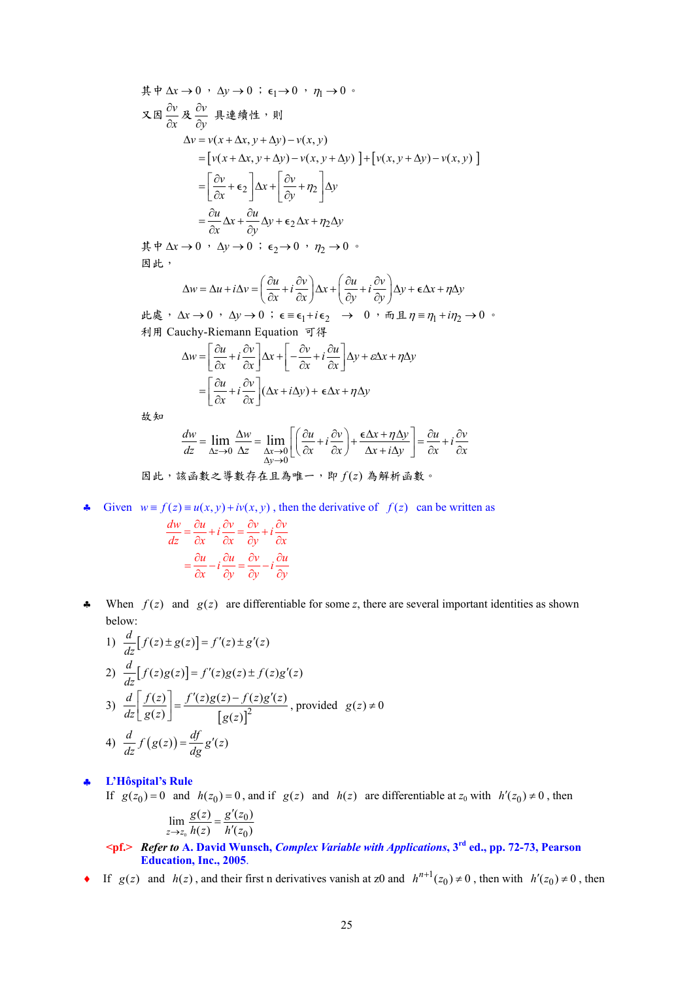$$
\begin{aligned}\n\ddot{\mathbf{A}} \neq \Delta x &\to 0 \quad \Delta y \to 0 \quad \dot{\mathbf{c}}_1 \to 0 \quad \eta_1 \to 0 \quad \dot{\mathbf{c}}_2 \\
\mathbf{X} \boxtimes \frac{\partial v}{\partial x} &\times \frac{\partial v}{\partial y} \not\cong \mathbf{A} \mathbf{H} \mathbf{H} \mathbf{H} \\
\Delta v &= v(x + \Delta x, y + \Delta y) - v(x, y) \\
&= \left[ v(x + \Delta x, y + \Delta y) - v(x, y + \Delta y) \right] + \left[ v(x, y + \Delta y) - v(x, y) \right] \\
&= \left[ \frac{\partial v}{\partial x} + \epsilon_2 \right] \Delta x + \left[ \frac{\partial v}{\partial y} + \eta_2 \right] \Delta y \\
&= \frac{\partial u}{\partial x} \Delta x + \frac{\partial u}{\partial y} \Delta y + \epsilon_2 \Delta x + \eta_2 \Delta y\n\end{aligned}
$$

 $\sharp$  中 Δ*x* → 0,  $\Delta$ *y* → 0 ; ε<sub>2</sub> → 0,  $\eta$ <sub>2</sub> → 0,  $\phi$ 因此,

$$
\Delta w = \Delta u + i\Delta v = \left(\frac{\partial u}{\partial x} + i\frac{\partial v}{\partial x}\right)\Delta x + \left(\frac{\partial u}{\partial y} + i\frac{\partial v}{\partial y}\right)\Delta y + \epsilon \Delta x + \eta \Delta y
$$

 $\mu \ddot{\mathcal{R}}$ ,  $\Delta x \rightarrow 0$ ,  $\Delta y \rightarrow 0$ ;  $\epsilon = \epsilon_1 + i\epsilon_2$  → 0,  $\overline{m}$   $\pm \eta = \eta_1 + i\eta_2$  → 0 利用 Cauchy-Riemann Equation 可得

$$
\Delta w = \left[\frac{\partial u}{\partial x} + i\frac{\partial v}{\partial x}\right] \Delta x + \left[-\frac{\partial v}{\partial x} + i\frac{\partial u}{\partial x}\right] \Delta y + \varepsilon \Delta x + \eta \Delta y
$$

$$
= \left[\frac{\partial u}{\partial x} + i\frac{\partial v}{\partial x}\right] (\Delta x + i\Delta y) + \varepsilon \Delta x + \eta \Delta y
$$

故知

$$
\frac{dw}{dz} = \lim_{\Delta z \to 0} \frac{\Delta w}{\Delta z} = \lim_{\begin{subarray}{c} \Delta x \to 0 \\ \Delta y \to 0 \end{subarray}} \left[ \left( \frac{\partial u}{\partial x} + i \frac{\partial v}{\partial x} \right) + \frac{\epsilon \Delta x + \eta \Delta y}{\Delta x + i \Delta y} \right] = \frac{\partial u}{\partial x} + i \frac{\partial v}{\partial x}
$$

因此,該函數之導數存在且為唯一,即 *f* (*z*) 為解析函數。

**←** Given  $w \equiv f(z) \equiv u(x, y) + iv(x, y)$ , then the derivative of  $f(z)$  can be written as  $\frac{dw}{dx} = \frac{\partial u}{\partial x} + i \frac{\partial v}{\partial y} = \frac{\partial v}{\partial y} + i \frac{\partial v}{\partial z}$ 

$$
\frac{dZ}{dz} = \frac{\partial Z}{\partial x} + i \frac{\partial Z}{\partial x} = \frac{\partial Z}{\partial y} + i \frac{\partial Z}{\partial x}
$$

$$
= \frac{\partial u}{\partial x} - i \frac{\partial u}{\partial y} = \frac{\partial v}{\partial y} - i \frac{\partial u}{\partial y}
$$

 $\ast$  When  $f(z)$  and  $g(z)$  are differentiable for some z, there are several important identities as shown below:

1) 
$$
\frac{d}{dz}[f(z) \pm g(z)] = f'(z) \pm g'(z)
$$
  
\n2) 
$$
\frac{d}{dz}[f(z)g(z)] = f'(z)g(z) \pm f(z)g'(z)
$$
  
\n3) 
$$
\frac{d}{dz} \left[ \frac{f(z)}{g(z)} \right] = \frac{f'(z)g(z) - f(z)g'(z)}{[g(z)]^2}
$$
, provided  $g(z) \neq 0$   
\n4) 
$$
\frac{d}{dz} f(g(z)) = \frac{df}{dg} g'(z)
$$

#### ♣ **L'Hôspital's Rule**

If  $g(z_0) = 0$  and  $h(z_0) = 0$ , and if  $g(z)$  and  $h(z)$  are differentiable at  $z_0$  with  $h'(z_0) \neq 0$ , then 0  $\overline{0}$  $\mathbf{0}$  $\lim_{z \to z_0} \frac{g(z)}{h(z)} = \frac{g'(z_0)}{h'(z_0)}$  $g(z)$   $g'(z)$  $\lim_{x \to z_0} \frac{g(z)}{h(z)} = \frac{g'(z)}{h'(z)}$ 

 **<pf.>** *Refer to* **A. David Wunsch,** *Complex Variable with Applications***, 3rd ed., pp. 72-73, Pearson Education, Inc., 2005**.

♦ If  $g(z)$  and  $h(z)$ , and their first n derivatives vanish at z0 and  $h^{n+1}(z_0) \neq 0$ , then with  $h'(z_0) \neq 0$ , then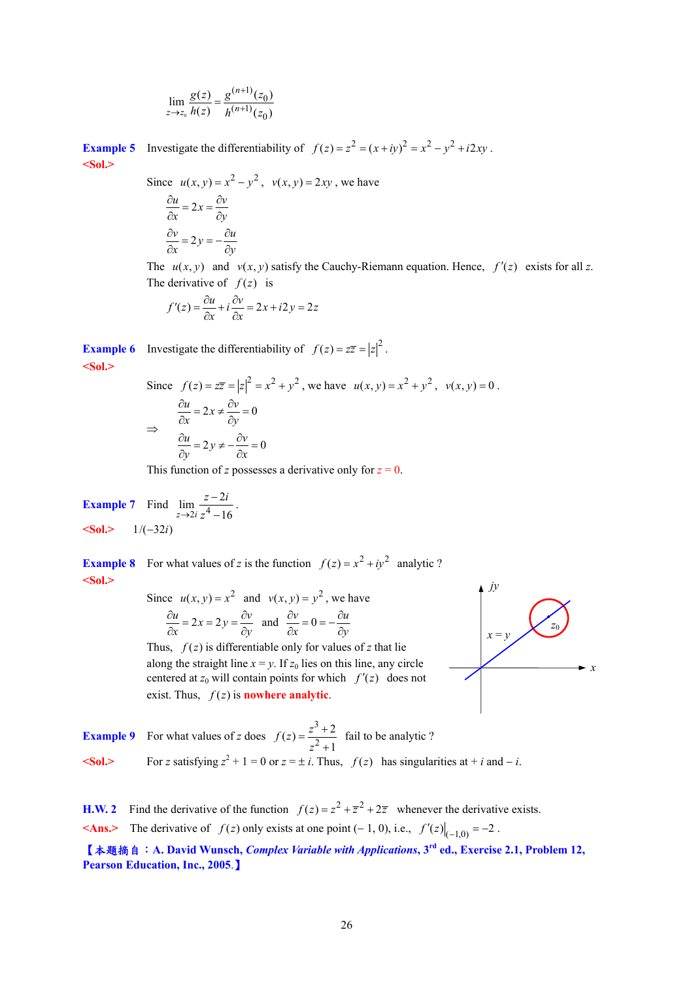$$
\lim_{z \to z_0} \frac{g(z)}{h(z)} = \frac{g^{(n+1)}(z_0)}{h^{(n+1)}(z_0)}
$$

**Example 5** Investigate the differentiability of  $f(z) = z^2 = (x + iy)^2 = x^2 - y^2 + i2xy$ . **<Sol.>** 

> Since  $u(x, y) = x^2 - y^2$ ,  $v(x, y) = 2xy$ , we have  $\frac{\partial u}{\partial x} = 2x = \frac{\partial v}{\partial y}$  $\frac{\partial v}{\partial x} = 2y = -\frac{\partial u}{\partial y}$

The  $u(x, y)$  and  $v(x, y)$  satisfy the Cauchy-Riemann equation. Hence,  $f'(z)$  exists for all z. The derivative of  $f(z)$  is

$$
f'(z) = \frac{\partial u}{\partial x} + i \frac{\partial v}{\partial x} = 2x + i2y = 2z
$$

**Example 6** Investigate the differentiability of  $f(z) = z\overline{z} = |z|^2$ . **<Sol.>**

Since 
$$
f(z) = z\overline{z} = |z|^2 = x^2 + y^2
$$
, we have  $u(x, y) = x^2 + y^2$ ,  $v(x, y) = 0$ .  
\n
$$
\frac{\partial u}{\partial x} = 2x \neq \frac{\partial v}{\partial y} = 0
$$
\n
$$
\frac{\partial u}{\partial y} = 2y \neq -\frac{\partial v}{\partial x} = 0
$$

This function of *z* possesses a derivative only for  $z = 0$ .

**Example 7** Find 
$$
\lim_{z \to 2i} \frac{z - 2i}{z^4 - 16}
$$
.  
******Sol.**** 1/(–32*i*)**

**Example 8** For what values of *z* is the function  $f(z) = x^2 + iy^2$  analytic ? **<Sol.>** 

Since 
$$
u(x, y) = x^2
$$
 and  $v(x, y) = y^2$ , we have  
\n
$$
\frac{\partial u}{\partial x} = 2x = 2y = \frac{\partial v}{\partial y}
$$
 and 
$$
\frac{\partial v}{\partial x} = 0 = -\frac{\partial u}{\partial y}
$$

Thus,  $f(z)$  is differentiable only for values of z that lie along the straight line  $x = v$ . If  $z_0$  lies on this line, any circle centered at  $z_0$  will contain points for which  $f'(z)$  does not exist. Thus,  $f(z)$  is **nowhere analytic**.



**Example 9** For what values of *z* does 3  $(z) = \frac{z^3 + 2}{z^2 + 1}$  $f(z) = \frac{z^3 + 2}{z^2 + 1}$  fail to be analytic ?  $50l$ >
For *z* satisfying  $z^2 + 1 = 0$  or  $z = \pm i$ . Thus,  $f(z)$  has singularities at + *i* and − *i*.

**H.W. 2** Find the derivative of the function  $f(z) = z^2 + \overline{z}^2 + 2\overline{z}$  whenever the derivative exists. ≺Ans.> The derivative of *f* (*z*) only exists at one point (− 1, 0), i.e.,  $f'(z)|_{(-1,0)} = -2$ .

【本題摘自:**A. David Wunsch,** *Complex Variable with Applications***, 3rd ed., Exercise 2.1, Problem 12, Pearson Education, Inc., 2005**.】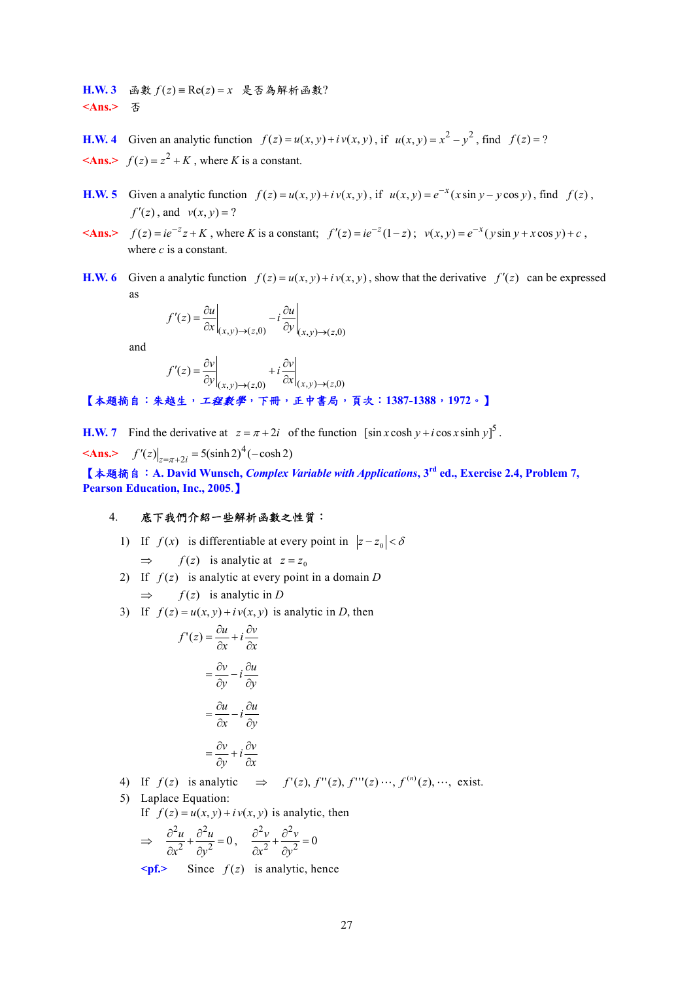H.W. 3 函數  $f(z)$  ≡  $\text{Re}(z) = x$  是否為解析函數? **<Ans.>** 否

**H.W. 4** Given an analytic function  $f(z) = u(x, y) + iv(x, y)$ , if  $u(x, y) = x^2 - y^2$ , find  $f(z) = ?$  $\leq$ **Ans.** $\geq f(z) = z^2 + K$ , where *K* is a constant.

- **H.W. 5** Given a analytic function  $f(z) = u(x, y) + iv(x, y)$ , if  $u(x, y) = e^{-x}(x \sin y y \cos y)$ , find  $f(z)$ ,  $f'(z)$ , and  $v(x, y) = ?$
- $\langle A\mathbf{n}s \rangle$   $f(z) = ie^{-z}z + K$ , where *K* is a constant;  $f'(z) = ie^{-z}(1-z)$ ;  $v(x, y) = e^{-x}(y \sin y + x \cos y) + c$ , where *c* is a constant.
- **H.W. 6** Given a analytic function  $f(z) = u(x, y) + iv(x, y)$ , show that the derivative  $f'(z)$  can be expressed as

$$
f'(z) = \frac{\partial u}{\partial x}\bigg|_{(x,y)\to(z,0)} - i\frac{\partial u}{\partial y}\bigg|_{(x,y)\to(z,0)}
$$

and

$$
f'(z) = \frac{\partial v}{\partial y}\Big|_{(x,y)\to(z,0)} + i\frac{\partial v}{\partial x}\Big|_{(x,y)\to(z,0)}
$$

【本題摘自:朱越生,工程數學,下冊,正中書局,頁次:**1387-1388**,**1972**。】

**H.W. 7** Find the derivative at  $z = \pi + 2i$  of the function  $[\sin x \cosh y + i \cos x \sinh y]^5$ .

 $\mathbf{a} \times \mathbf{Ans.}$   $f'(z)\big|_{z=\pi+2i} = 5(\sinh 2)^4(-\cosh 2)$ 

【本題摘自:**A. David Wunsch,** *Complex Variable with Applications***, 3rd ed., Exercise 2.4, Problem 7, Pearson Education, Inc., 2005**.】

## 4. 底下我們介紹一些解析函數之性質:

1) If  $f(x)$  is differentiable at every point in  $|z-z_0| < \delta$ 

$$
\implies
$$
  $f(z)$  is analytic at  $z = z_0$ 

- 2) If  $f(z)$  is analytic at every point in a domain *D*  $\Rightarrow$  *f(z)* is analytic in *D*
- 3) If  $f(z) = u(x, y) + iv(x, y)$  is analytic in *D*, then

$$
f'(z) = \frac{\partial u}{\partial x} + i \frac{\partial v}{\partial x}
$$

$$
= \frac{\partial v}{\partial y} - i \frac{\partial u}{\partial y}
$$

$$
= \frac{\partial u}{\partial x} - i \frac{\partial u}{\partial y}
$$

$$
= \frac{\partial v}{\partial y} + i \frac{\partial v}{\partial x}
$$

4) If  $f(z)$  is analytic  $\Rightarrow$   $f'(z)$ ,  $f''(z)$ ,  $f'''(z)$ ,  $f^{(n)}(z)$ ,  $\cdots$ , exist.

- 5) Laplace Equation:
	- If  $f(z) = u(x, y) + iv(x, y)$  is analytic, then

$$
\Rightarrow \frac{\partial^2 u}{\partial x^2} + \frac{\partial^2 u}{\partial y^2} = 0, \frac{\partial^2 v}{\partial x^2} + \frac{\partial^2 v}{\partial y^2} = 0
$$

 $\leq$  **pf.>** Since  $f(z)$  is analytic, hence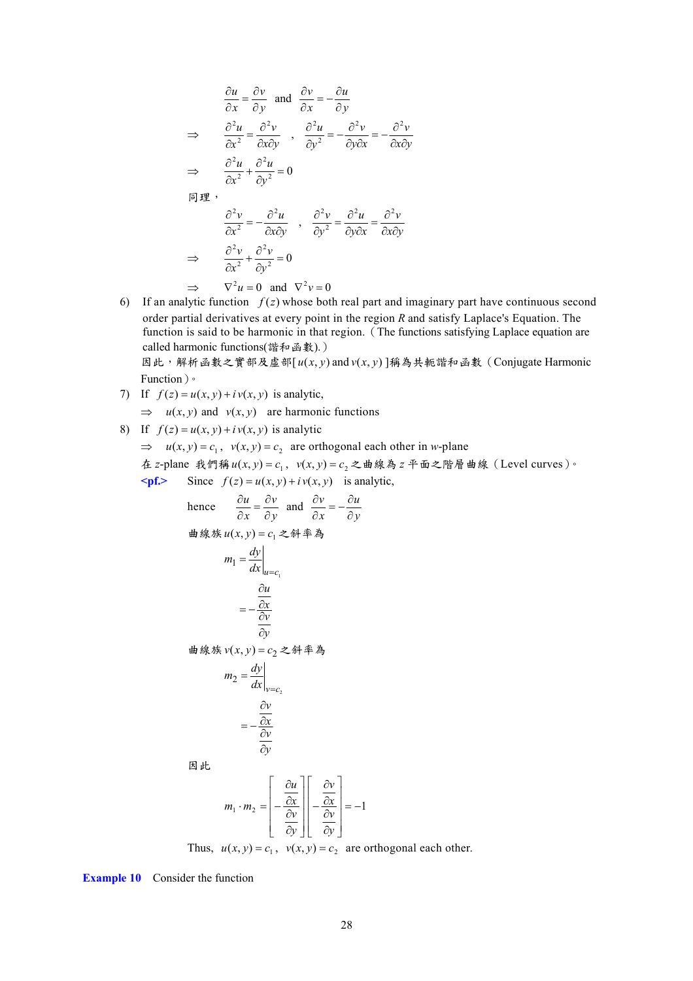$$
\frac{\partial u}{\partial x} = \frac{\partial v}{\partial y} \text{ and } \frac{\partial v}{\partial x} = -\frac{\partial u}{\partial y}
$$
  
\n
$$
\Rightarrow \frac{\partial^2 u}{\partial x^2} = \frac{\partial^2 v}{\partial x \partial y} , \frac{\partial^2 u}{\partial y^2} = -\frac{\partial^2 v}{\partial y \partial x} = -\frac{\partial^2 v}{\partial x \partial y}
$$
  
\n
$$
\Rightarrow \frac{\partial^2 u}{\partial x^2} + \frac{\partial^2 u}{\partial y^2} = 0
$$
  
\n
$$
\boxed{\frac{\partial^2 v}{\partial x^2} = -\frac{\partial^2 u}{\partial x \partial y} , \frac{\partial^2 v}{\partial y^2} = \frac{\partial^2 u}{\partial y \partial x} = \frac{\partial^2 v}{\partial x \partial y}
$$
  
\n
$$
\Rightarrow \frac{\partial^2 v}{\partial x^2} + \frac{\partial^2 v}{\partial y^2} = 0
$$
  
\n
$$
\Rightarrow \nabla^2 u = 0 \text{ and } \nabla^2 v = 0
$$

6) If an analytic function  $f(z)$  whose both real part and imaginary part have continuous second order partial derivatives at every point in the region *R* and satisfy Laplace's Equation. The function is said to be harmonic in that region. (The functions satisfying Laplace equation are called harmonic functions(諧和函數).)

因此,解析函數之實部及虛部[ $u(x, y)$  and  $v(x, y)$ ]稱為共軛諧和函數(Conjugate Harmonic Function)。

7) If  $f(z) = u(x, y) + iv(x, y)$  is analytic,

 $\Rightarrow$  *u*(*x*, *y*) and *v*(*x*, *y*) are harmonic functions

8) If  $f(z) = u(x, y) + iv(x, y)$  is analytic

 $\Rightarrow u(x, y) = c_1$ ,  $v(x, y) = c_2$  are orthogonal each other in *w*-plane

在 *z*-plane 我們稱  $u(x, y) = c_1$ ,  $v(x, y) = c_2$ 之曲線為  $z$  平面之階層曲線 (Level curves)。  $\leq$  **pf.**> Since  $f(z) = u(x, y) + iv(x, y)$  is analytic,

hence 
$$
\frac{\partial u}{\partial x} = \frac{\partial v}{\partial y}
$$
 and  $\frac{\partial v}{\partial x} = -\frac{\partial u}{\partial y}$   
\n $\Rightarrow$   $\frac{\partial u}{\partial x} = \frac{dv}{dx}$  and  $\frac{\partial v}{\partial x} = -\frac{\partial u}{\partial y}$   
\n $m_1 = \frac{dy}{dx}\Big|_{u=c_1}$   
\n $= -\frac{\frac{\partial u}{\partial x}}{\frac{\partial v}{\partial y}}$   
\n $\Rightarrow m_2 = \frac{dy}{dx}\Big|_{v=c_2}$   
\n $= -\frac{\frac{\partial v}{\partial x}}{\frac{\partial v}{\partial y}}$ 

因此

$$
m_1 \cdot m_2 = \left[ -\frac{\frac{\partial u}{\partial x}}{\frac{\partial v}{\partial y}} \right] \left[ -\frac{\frac{\partial v}{\partial x}}{\frac{\partial v}{\partial y}} \right] = -1
$$

Thus,  $u(x, y) = c_1$ ,  $v(x, y) = c_2$  are orthogonal each other.

**Example 10** Consider the function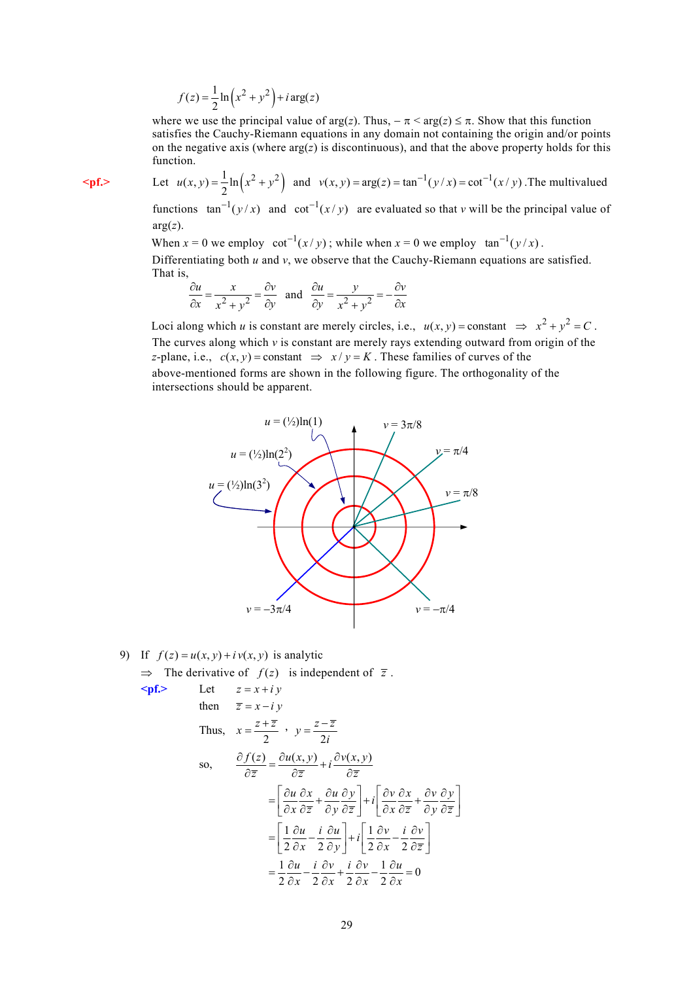$$
f(z) = \frac{1}{2} \ln \left( x^2 + y^2 \right) + i \arg(z)
$$

where we use the principal value of  $\arg(z)$ . Thus,  $-\pi < \arg(z) \leq \pi$ . Show that this function satisfies the Cauchy-Riemann equations in any domain not containing the origin and/or points on the negative axis (where  $arg(z)$  is discontinuous), and that the above property holds for this function.

 $\leq p$ **f.>** Let  $u(x, y) = \frac{1}{2} \ln (x^2 + y^2)$  and  $v(x, y) = \arg(z) = \tan^{-1}(y/x) = \cot^{-1}(x/y)$ . The multivalued

functions  $\tan^{-1}(y/x)$  and  $\cot^{-1}(x/y)$  are evaluated so that *v* will be the principal value of  $arg(z)$ .

When  $x = 0$  we employ  $\cot^{-1}(x / y)$ ; while when  $x = 0$  we employ  $\tan^{-1}(y / x)$ . Differentiating both *u* and *v*, we observe that the Cauchy-Riemann equations are satisfied. That is,

$$
\frac{\partial u}{\partial x} = \frac{x}{x^2 + y^2} = \frac{\partial v}{\partial y} \text{ and } \frac{\partial u}{\partial y} = \frac{y}{x^2 + y^2} = -\frac{\partial v}{\partial x}
$$

Loci along which *u* is constant are merely circles, i.e.,  $u(x, y) = constant \implies x^2 + y^2 = C$ . The curves along which *v* is constant are merely rays extending outward from origin of the *z*-plane, i.e.,  $c(x, y) = constant \implies x/y = K$ . These families of curves of the above-mentioned forms are shown in the following figure. The orthogonality of the intersections should be apparent.



9) If  $f(z) = u(x, y) + iv(x, y)$  is analytic  $\Rightarrow$  The derivative of  $f(z)$  is independent of  $\overline{z}$ . **<pf.>** Let *z* = *x* + *i y*

Let 
$$
z = x + iy
$$
  
\nthen  $\overline{z} = x - iy$   
\nThus,  $x = \frac{z + \overline{z}}{2}$ ,  $y = \frac{z - \overline{z}}{2i}$   
\nso,  $\frac{\partial f(z)}{\partial \overline{z}} = \frac{\partial u(x, y)}{\partial \overline{z}} + i \frac{\partial v(x, y)}{\partial \overline{z}}$   
\n
$$
= \left[ \frac{\partial u}{\partial x} \frac{\partial x}{\partial \overline{z}} + \frac{\partial u}{\partial y} \frac{\partial y}{\partial \overline{z}} \right] + i \left[ \frac{\partial v}{\partial x} \frac{\partial x}{\partial \overline{z}} + \frac{\partial v}{\partial y} \frac{\partial y}{\partial \overline{z}} \right]
$$
  
\n
$$
= \left[ \frac{1}{2} \frac{\partial u}{\partial x} - \frac{i}{2} \frac{\partial u}{\partial y} \right] + i \left[ \frac{1}{2} \frac{\partial v}{\partial x} - \frac{i}{2} \frac{\partial v}{\partial \overline{z}} \right]
$$
  
\n
$$
= \frac{1}{2} \frac{\partial u}{\partial x} - \frac{i}{2} \frac{\partial v}{\partial x} + \frac{i}{2} \frac{\partial v}{\partial x} - \frac{1}{2} \frac{\partial u}{\partial x} = 0
$$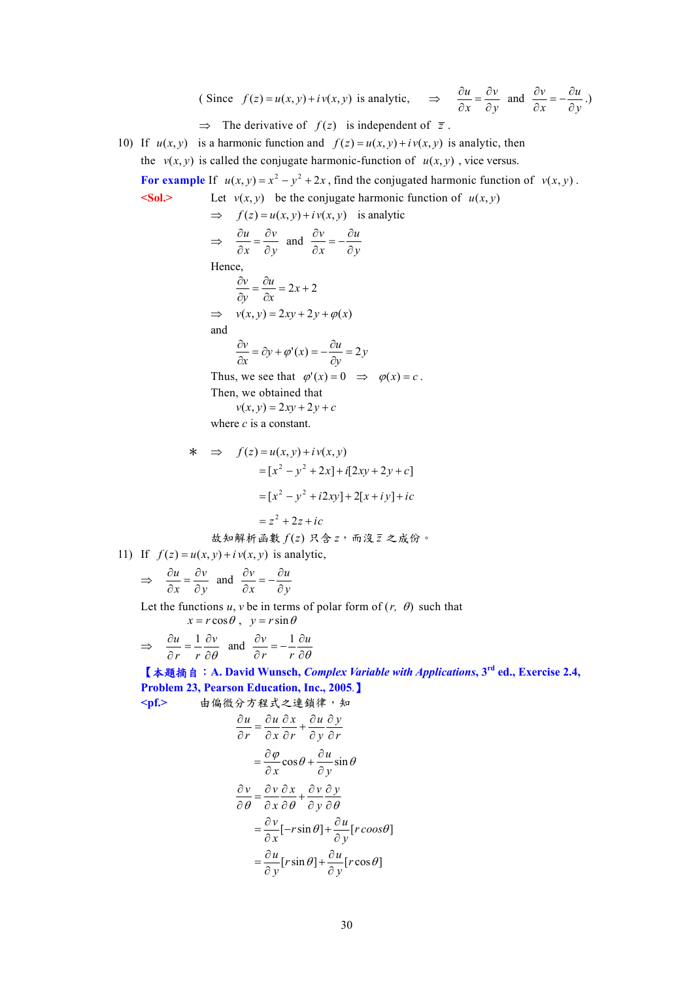(Since 
$$
f(z) = u(x, y) + iv(x, y)
$$
 is analytic,  $\Rightarrow \frac{\partial u}{\partial x} = \frac{\partial v}{\partial y}$  and  $\frac{\partial v}{\partial x} = -\frac{\partial u}{\partial y}$ .)

 $\Rightarrow$  The derivative of  $f(z)$  is independent of  $\overline{z}$ .

10) If  $u(x, y)$  is a harmonic function and  $f(z) = u(x, y) + iv(x, y)$  is analytic, then the  $v(x, y)$  is called the conjugate harmonic-function of  $u(x, y)$ , vice versus.

For example If  $u(x, y) = x^2 - y^2 + 2x$ , find the conjugated harmonic function of  $v(x, y)$ .

 $\leq$ **Sol.>** Let *v*(*x*, *y*) be the conjugate harmonic function of *u*(*x*, *y*)

$$
\Rightarrow f(z) = u(x, y) + iv(x, y) \text{ is analytic}
$$
  

$$
\Rightarrow \frac{\partial u}{\partial x} = \frac{\partial v}{\partial y} \text{ and } \frac{\partial v}{\partial x} = -\frac{\partial u}{\partial y}
$$

Hence,

$$
\frac{\partial v}{\partial y} = \frac{\partial u}{\partial x} = 2x + 2
$$
  
\n
$$
\Rightarrow v(x, y) = 2xy + 2y + \varphi(x)
$$
  
\nand

$$
\frac{\partial v}{\partial x} = \partial y + \varphi'(x) = -\frac{\partial u}{\partial y} = 2y
$$

Thus, we see that  $\varphi'(x) = 0 \implies \varphi(x) = c$ . Then, we obtained that

 $v(x, y) = 2xy + 2y + c$ 

where *c* is a constant.

\* ⇒ *f* (*z*) = *u*(*x*, *y*) + *i v*(*x*, *y*) *z z ic x y i xy x i y ic x y x i xy y c* = + + = − + + + + = − + + + + 2 [ 2 ] 2[ ] [ 2 ] [2 2 ] 2 2 2 2 2 故知解析函數 *f* (*z*) 只含 *z*,而沒 *z* 之成份。

11) If  $f(z) = u(x, y) + iv(x, y)$  is analytic,

$$
\Rightarrow \quad \frac{\partial u}{\partial x} = \frac{\partial v}{\partial y} \text{ and } \frac{\partial v}{\partial x} = -\frac{\partial u}{\partial y}
$$

Let the functions  $u$ ,  $v$  be in terms of polar form of  $(r, \theta)$  such that

$$
x = r\cos\theta \,, \ \ y = r\sin\theta
$$

$$
\Rightarrow \quad \frac{\partial u}{\partial r} = \frac{1}{r} \frac{\partial v}{\partial \theta} \quad \text{and} \quad \frac{\partial v}{\partial r} = -\frac{1}{r} \frac{\partial u}{\partial \theta}
$$

【本題摘自:**A. David Wunsch,** *Complex Variable with Applications***, 3rd ed., Exercise 2.4, Problem 23, Pearson Education, Inc., 2005**.】

**<pf.>** 由偏微分方程式之連鎖律,知 *r y y u r x x u r u* ∂ ∂ ∂ ∂ + ∂ ∂ ∂ <sup>∂</sup> <sup>=</sup> <sup>∂</sup> ∂ <sup>θ</sup> <sup>θ</sup> <sup>ϕ</sup> cos sin *y u x* ∂ ∂ + ∂ ∂ = [ sin ] [ ] *r r coos* θ θ [ sin ] [ cos ] *u u r r y y* θ θ ∂ ∂ = + ∂ ∂*v vx vy x y v u x y* θθθ ∂ ∂∂ ∂∂ = + ∂ ∂∂ ∂∂ ∂ ∂ =− + ∂ ∂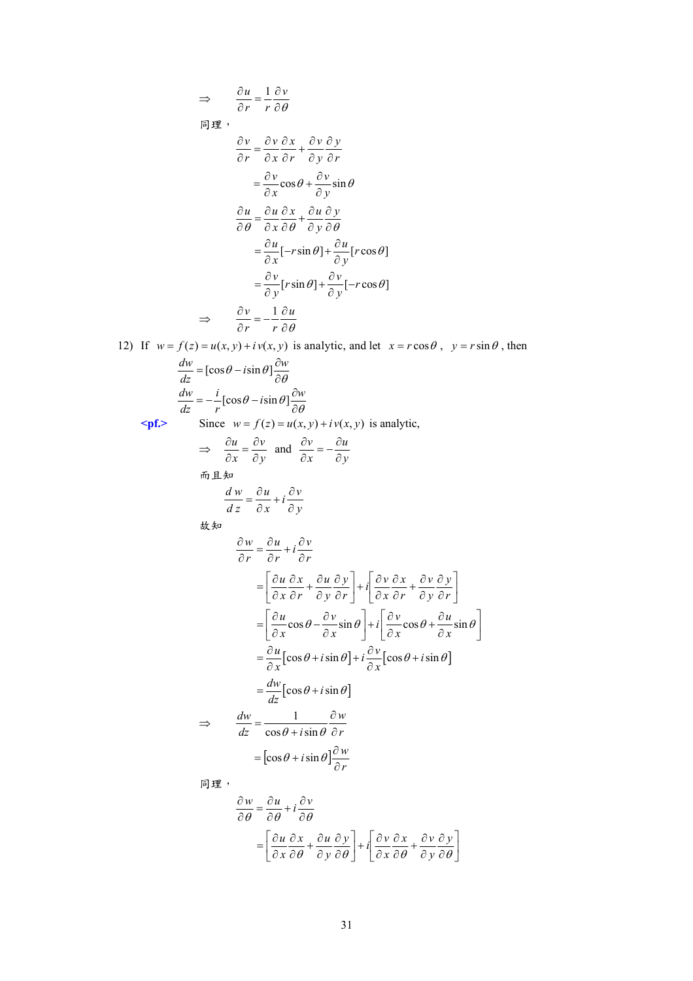$$
\frac{\partial u}{\partial r} = \frac{1}{r} \frac{\partial v}{\partial \theta}
$$
\n
$$
\frac{\partial v}{\partial r} = \frac{\partial v}{\partial x} \frac{\partial x}{\partial r} + \frac{\partial v}{\partial y} \frac{\partial y}{\partial r}
$$
\n
$$
= \frac{\partial v}{\partial x} \cos \theta + \frac{\partial v}{\partial y} \sin \theta
$$
\n
$$
\frac{\partial u}{\partial \theta} = \frac{\partial u}{\partial x} \frac{\partial x}{\partial \theta} + \frac{\partial u}{\partial y} \frac{\partial y}{\partial \theta}
$$
\n
$$
= \frac{\partial u}{\partial x} [\cos \theta + \frac{\partial u}{\partial y} \sin \theta]
$$
\n
$$
= \frac{\partial v}{\partial x} [\sin \theta] + \frac{\partial u}{\partial y} [\cos \theta]
$$
\n
$$
= \frac{\partial v}{\partial y} [\sin \theta] + \frac{\partial v}{\partial y} [-r \cos \theta]
$$
\n
$$
\Rightarrow \frac{\partial v}{\partial r} = -\frac{1}{r} \frac{\partial u}{\partial \theta}
$$
\n12) If  $w = f(z) = u(x, y) + iv(x, y)$  is analytic, and let  $x = r \cos \theta$ ,  $y = r \sin \theta$ , then\n
$$
\frac{dv}{dz} = [\cos \theta - i \sin \theta] \frac{\partial w}{\partial \theta}
$$
\n
$$
\Rightarrow \frac{dv}{\cos x} = \frac{\partial v}{\partial y} \text{ and } \frac{\partial v}{\partial x} = -\frac{\partial u}{\partial y}
$$
\n
$$
\Rightarrow \frac{\partial u}{\partial x} = \frac{\partial u}{\partial y} \text{ and } \frac{\partial v}{\partial x} = -\frac{\partial u}{\partial y}
$$
\n
$$
\Rightarrow \frac{\partial v}{\partial x} = \frac{\partial u}{\partial x} + i \frac{\partial v}{\partial y}
$$
\n
$$
\frac{d^2v}{dx^2} = \frac{\partial u}{\partial x} + i \frac{\partial v}{\partial y}
$$
\n
$$
= \left[\frac{\partial u}{\partial x} \frac{\partial x}{\partial r} + \frac{\partial u}{\partial y} \frac{\partial y}{\partial r}\right] + i \left[\frac{\partial v}{\partial x} \frac{\partial x}{\partial r} + \frac{\partial v}{\partial y} \frac{\partial y}{\partial r}\right]
$$
\n<math display="</math>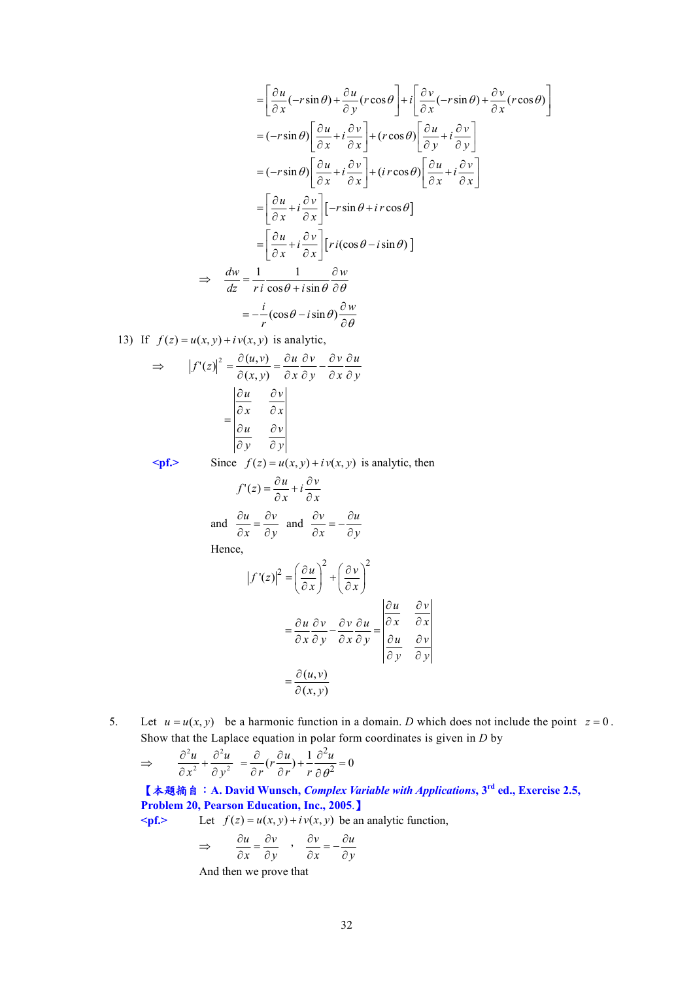$$
= \left[\frac{\partial u}{\partial x}(-r\sin\theta) + \frac{\partial u}{\partial y}(r\cos\theta)\right] + i\left[\frac{\partial v}{\partial x}(-r\sin\theta) + \frac{\partial v}{\partial x}(r\cos\theta)\right]
$$
  
\n
$$
= (-r\sin\theta)\left[\frac{\partial u}{\partial x} + i\frac{\partial v}{\partial x}\right] + (r\cos\theta)\left[\frac{\partial u}{\partial y} + i\frac{\partial v}{\partial y}\right]
$$
  
\n
$$
= (-r\sin\theta)\left[\frac{\partial u}{\partial x} + i\frac{\partial v}{\partial x}\right] + (ir\cos\theta)\left[\frac{\partial u}{\partial x} + i\frac{\partial v}{\partial x}\right]
$$
  
\n
$$
= \left[\frac{\partial u}{\partial x} + i\frac{\partial v}{\partial x}\right] [-r\sin\theta + ir\cos\theta]
$$
  
\n
$$
= \left[\frac{\partial u}{\partial x} + i\frac{\partial v}{\partial x}\right] [ri(\cos\theta - i\sin\theta)]
$$
  
\n
$$
\Rightarrow \frac{dw}{dz} = \frac{1}{ri}\frac{1}{\cos\theta + i\sin\theta}\frac{\partial w}{\partial \theta}
$$
  
\n
$$
= -\frac{i}{r}(\cos\theta - i\sin\theta)\frac{\partial w}{\partial \theta}
$$

13) If  $f(z) = u(x, y) + iv(x, y)$  is analytic,

$$
\Rightarrow |f'(z)|^2 = \frac{\partial(u, v)}{\partial(x, y)} = \frac{\partial u}{\partial x} \frac{\partial v}{\partial y} - \frac{\partial v}{\partial x} \frac{\partial u}{\partial y}
$$

$$
= \begin{vmatrix} \frac{\partial u}{\partial x} & \frac{\partial v}{\partial x} \\ \frac{\partial u}{\partial y} & \frac{\partial v}{\partial y} \end{vmatrix}
$$

 $\leq$  **pf.**> Since  $f(z) = u(x, y) + i v(x, y)$  is analytic, then

$$
f'(z) = \frac{\partial u}{\partial x} + i \frac{\partial v}{\partial x}
$$
  
and  $\frac{\partial u}{\partial x} = \frac{\partial v}{\partial y}$  and  $\frac{\partial v}{\partial x} = -\frac{\partial u}{\partial y}$ 

Hence,

$$
|f'(z)|^2 = \left(\frac{\partial u}{\partial x}\right)^2 + \left(\frac{\partial v}{\partial x}\right)^2
$$
  

$$
= \frac{\partial u}{\partial x}\frac{\partial v}{\partial y} - \frac{\partial v}{\partial x}\frac{\partial u}{\partial y} = \begin{vmatrix} \frac{\partial u}{\partial x} & \frac{\partial v}{\partial x} \\ \frac{\partial u}{\partial y} & \frac{\partial v}{\partial y} \end{vmatrix}
$$
  

$$
= \frac{\partial (u, v)}{\partial (x, y)}
$$

5. Let  $u = u(x, y)$  be a harmonic function in a domain. *D* which does not include the point  $z = 0$ . Show that the Laplace equation in polar form coordinates is given in *D* by

$$
\Rightarrow \qquad \frac{\partial^2 u}{\partial x^2} + \frac{\partial^2 u}{\partial y^2} = \frac{\partial}{\partial r} (r \frac{\partial u}{\partial r}) + \frac{1}{r} \frac{\partial^2 u}{\partial \theta^2} = 0
$$

【本題摘自:**A. David Wunsch,** *Complex Variable with Applications***, 3rd ed., Exercise 2.5, Problem 20, Pearson Education, Inc., 2005**.】

 $\leq$  **pf.**> Let  $f(z) = u(x, y) + i v(x, y)$  be an analytic function,

$$
\Rightarrow \qquad \frac{\partial u}{\partial x} = \frac{\partial v}{\partial y} \qquad \frac{\partial v}{\partial x} = -\frac{\partial u}{\partial y}
$$

And then we prove that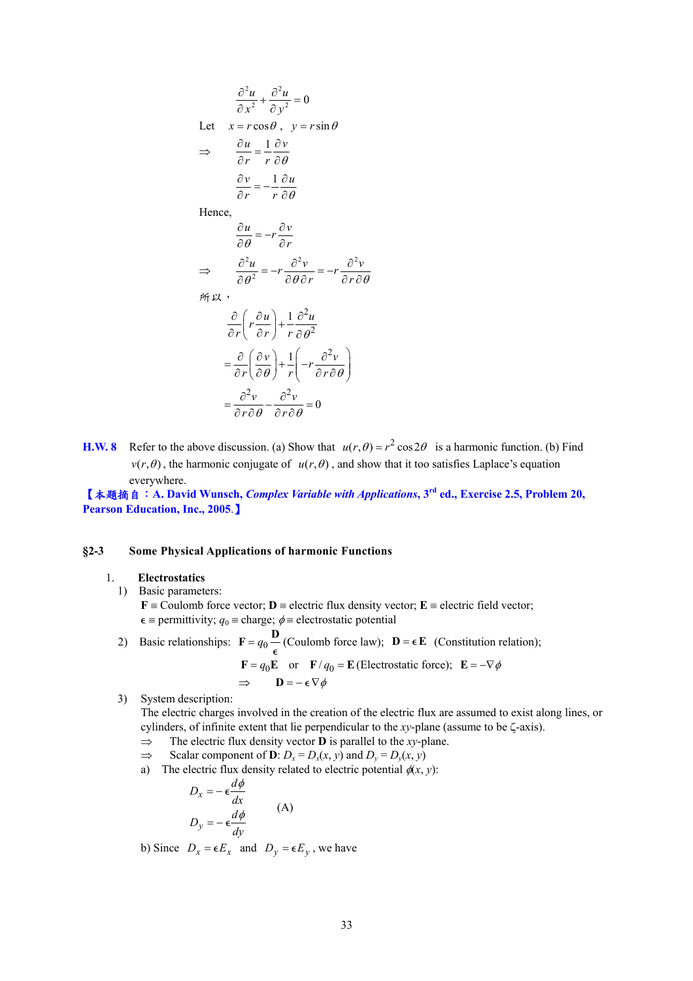$$
\frac{\partial^2 u}{\partial x^2} + \frac{\partial^2 u}{\partial y^2} = 0
$$
  
Let  $x = r \cos \theta$ ,  $y = r \sin \theta$   

$$
\Rightarrow \frac{\partial u}{\partial r} = \frac{1}{r} \frac{\partial v}{\partial \theta}
$$

$$
\frac{\partial v}{\partial r} = -\frac{1}{r} \frac{\partial u}{\partial \theta}
$$
Hence,
$$
\frac{\partial u}{\partial \theta} = -r \frac{\partial v}{\partial r}
$$

$$
\Rightarrow \qquad \frac{\partial^2 u}{\partial \theta^2} = -r \frac{\partial^2 v}{\partial \theta \partial r} = -r \frac{\partial^2 v}{\partial r \partial \theta}
$$

所以,

$$
\frac{\partial}{\partial r} \left( r \frac{\partial u}{\partial r} \right) + \frac{1}{r} \frac{\partial^2 u}{\partial \theta^2}
$$
\n
$$
= \frac{\partial}{\partial r} \left( \frac{\partial v}{\partial \theta} \right) + \frac{1}{r} \left( -r \frac{\partial^2 v}{\partial r \partial \theta} \right)
$$
\n
$$
= \frac{\partial^2 v}{\partial r \partial \theta} - \frac{\partial^2 v}{\partial r \partial \theta} = 0
$$

**H.W. 8** Refer to the above discussion. (a) Show that  $u(r, \theta) = r^2 \cos 2\theta$  is a harmonic function. (b) Find  $v(r, \theta)$ , the harmonic conjugate of  $u(r, \theta)$ , and show that it too satisfies Laplace's equation everywhere.

【本題摘自:**A. David Wunsch,** *Complex Variable with Applications***, 3rd ed., Exercise 2.5, Problem 20, Pearson Education, Inc., 2005**.】

#### **§2-3 Some Physical Applications of harmonic Functions**

#### 1. **Electrostatics**

1) Basic parameters:

 $\mathbf{F} \equiv$  Coulomb force vector;  $\mathbf{D} \equiv$  electric flux density vector;  $\mathbf{E} \equiv$  electric field vector;  $\epsilon$  ≡ permittivity;  $q_0$  ≡ charge;  $\phi$  ≡ electrostatic potential

2) Basic relationships:  $\mathbf{F} = q_0 \frac{\mathbf{D}}{2}$ Coulomb force law);  $\mathbf{D} = \epsilon \mathbf{E}$  (Constitution relation);

$$
\mathbf{F} = q_0 \mathbf{E}
$$
 or  $\mathbf{F}/q_0 = \mathbf{E}$  (Electrostatic force);  $\mathbf{E} = -\nabla \phi$   
\n $\Rightarrow$   $\mathbf{D} = -\epsilon \nabla \phi$ 

3) System description:

The electric charges involved in the creation of the electric flux are assumed to exist along lines, or cylinders, of infinite extent that lie perpendicular to the *xy*-plane (assume to be ζ-axis).

- ⇒ The electric flux density vector **D** is parallel to the *xy*-plane.
- $\Rightarrow$  Scalar component of **D**:  $D_x = D_x(x, y)$  and  $D_y = D_y(x, y)$

(A)

a) The electric flux density related to electric potential  $\phi(x, y)$ :

$$
D_x = -\epsilon \frac{d\phi}{dx}
$$

$$
D_y = -\epsilon \frac{d\phi}{dy}
$$

b) Since  $D_x = \epsilon E_x$  and  $D_y = \epsilon E_y$ , we have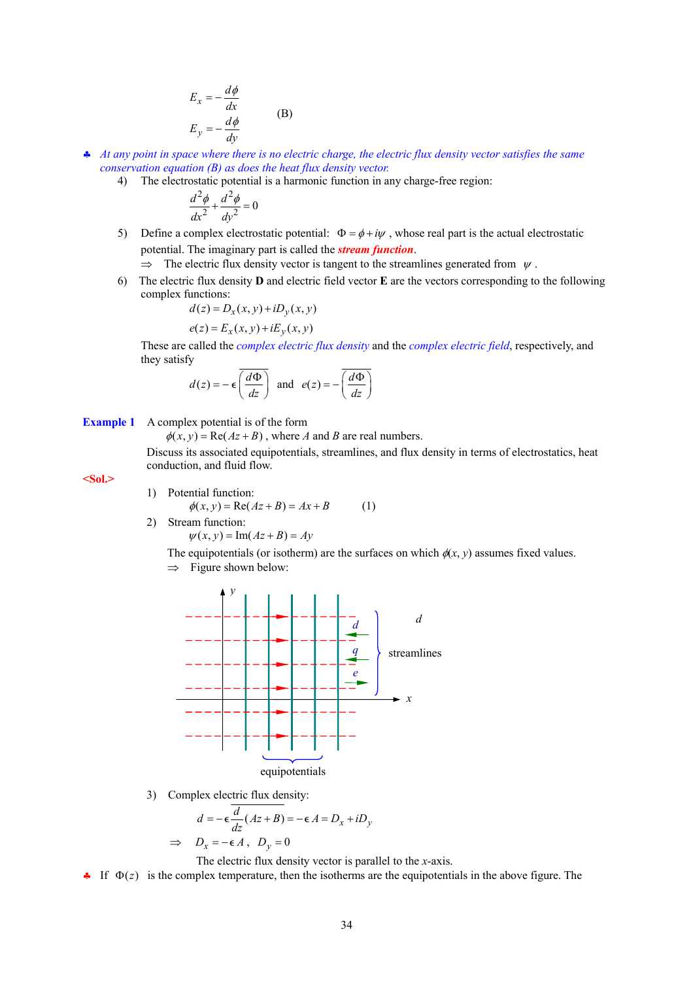$$
E_x = -\frac{d\phi}{dx}
$$
  
\n
$$
E_y = -\frac{d\phi}{dy}
$$
 (B)

- ♣ *At any point in space where there is no electric charge, the electric flux density vector satisfies the same conservation equation (B) as does the heat flux density vector.*
	- 4) The electrostatic potential is a harmonic function in any charge-free region:

$$
\frac{d^2\phi}{dx^2} + \frac{d^2\phi}{dy^2} = 0
$$

- 5) Define a complex electrostatic potential:  $\Phi = \phi + i\psi$ , whose real part is the actual electrostatic potential. The imaginary part is called the *stream function*.
	- $\Rightarrow$  The electric flux density vector is tangent to the streamlines generated from  $\psi$ .
- 6) The electric flux density **D** and electric field vector **E** are the vectors corresponding to the following complex functions:

$$
d(z) = D_x(x, y) + iD_y(x, y)
$$

$$
e(z) = E_x(x, y) + iE_y(x, y)
$$

These are called the *complex electric flux density* and the *complex electric field*, respectively, and they satisfy

$$
d(z) = -\epsilon \overline{\left(\frac{d\Phi}{dz}\right)} \text{ and } e(z) = -\overline{\left(\frac{d\Phi}{dz}\right)}
$$

**Example 1** A complex potential is of the form

 $\phi(x, y) = \text{Re}(Az + B)$ , where *A* and *B* are real numbers.

Discuss its associated equipotentials, streamlines, and flux density in terms of electrostatics, heat conduction, and fluid flow.

### **<Sol.>**

- 1) Potential function:
- $\phi(x, y) = \text{Re}(Az + B) = Ax + B$  (1) 2) Stream function:
	- $\psi(x, y) = \text{Im}(Az + B) = Ay$

The equipotentials (or isotherm) are the surfaces on which  $\phi(x, y)$  assumes fixed values.  $\Rightarrow$  Figure shown below:



3) Complex electric flux density:

$$
d = -\epsilon \frac{d}{dz} (Az + B) = -\epsilon A = D_x + iD_y
$$
  
\n
$$
\Rightarrow D_x = -\epsilon A, D_y = 0
$$

The electric flux density vector is parallel to the *x*-axis.

• If  $\Phi(z)$  is the complex temperature, then the isotherms are the equipotentials in the above figure. The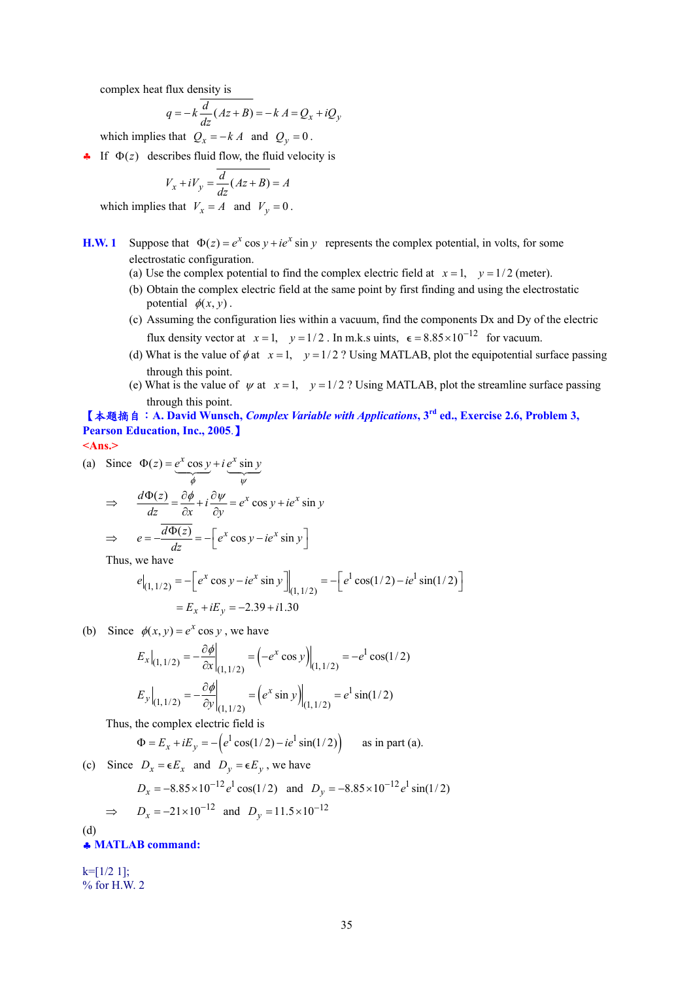complex heat flux density is

$$
q = -k \frac{d}{dz} (Az + B) = -k A = Q_x + iQ_y
$$

which implies that  $Q_x = -kA$  and  $Q_y = 0$ .

• If  $\Phi(z)$  describes fluid flow, the fluid velocity is

$$
V_x + iV_y = \frac{d}{dz}(Az + B) = A
$$

which implies that  $V_x = A$  and  $V_y = 0$ .

- **H.W. 1** Suppose that  $\Phi(z) = e^x \cos y + ie^x \sin y$  represents the complex potential, in volts, for some electrostatic configuration.
	- (a) Use the complex potential to find the complex electric field at  $x = 1$ ,  $y = 1/2$  (meter).
	- (b) Obtain the complex electric field at the same point by first finding and using the electrostatic potential  $\phi(x, y)$ .
	- (c) Assuming the configuration lies within a vacuum, find the components Dx and Dy of the electric flux density vector at  $x = 1$ ,  $y = 1/2$ . In m.k.s uints,  $\epsilon = 8.85 \times 10^{-12}$  for vacuum.
	- (d) What is the value of  $\phi$  at  $x = 1$ ,  $y = 1/2$  ? Using MATLAB, plot the equipotential surface passing through this point.
	- (e) What is the value of  $\psi$  at  $x = 1$ ,  $y = 1/2$ ? Using MATLAB, plot the streamline surface passing through this point.

【本題摘自:**A. David Wunsch,** *Complex Variable with Applications***, 3rd ed., Exercise 2.6, Problem 3, Pearson Education, Inc., 2005**.】

**<Ans.>** 

(a) Since 
$$
\Phi(z) = e^x \cos y + i e^x \sin y
$$

$$
\Rightarrow \frac{d\Phi(z)}{dz} = \frac{\partial \phi}{\partial x} + i \frac{\partial \psi}{\partial y} = e^x \cos y + ie^x \sin y
$$

$$
\Rightarrow e = -\frac{\overline{d\Phi(z)}}{dz} = -\left[e^x \cos y - ie^x \sin y\right]
$$

Thus, we have

$$
e|_{(1,1/2)} = -\left[e^x \cos y - ie^x \sin y\right]_{(1,1/2)} = -\left[e^x \cos(1/2) - ie^x \sin(1/2)\right]
$$

$$
= E_x + iE_y = -2.39 + i1.30
$$

(b) Since  $\phi(x, y) = e^x \cos y$ , we have

$$
E_x\Big|_{(1,1/2)} = -\frac{\partial \phi}{\partial x}\Big|_{(1,1/2)} = \left(-e^x \cos y\right)\Big|_{(1,1/2)} = -e^1 \cos(1/2)
$$
  

$$
E_y\Big|_{(1,1/2)} = -\frac{\partial \phi}{\partial y}\Big|_{(1,1/2)} = \left(e^x \sin y\right)\Big|_{(1,1/2)} = e^1 \sin(1/2)
$$

Thus, the complex electric field is

 $\Phi = E_x + iE_y = -\left(e^1 \cos(1/2) - ie^1 \sin(1/2)\right)$  as in part (a).

(c) Since  $D_x = \epsilon E_x$  and  $D_y = \epsilon E_y$ , we have

$$
D_x = -8.85 \times 10^{-12} e^1 \cos(1/2) \text{ and } D_y = -8.85 \times 10^{-12} e^1 \sin(1/2)
$$
  
\n
$$
\Rightarrow D_x = -21 \times 10^{-12} \text{ and } D_y = 11.5 \times 10^{-12}
$$

(d)

♣ **MATLAB command:** 

 $k=[1/2 1];$ % for H.W. 2